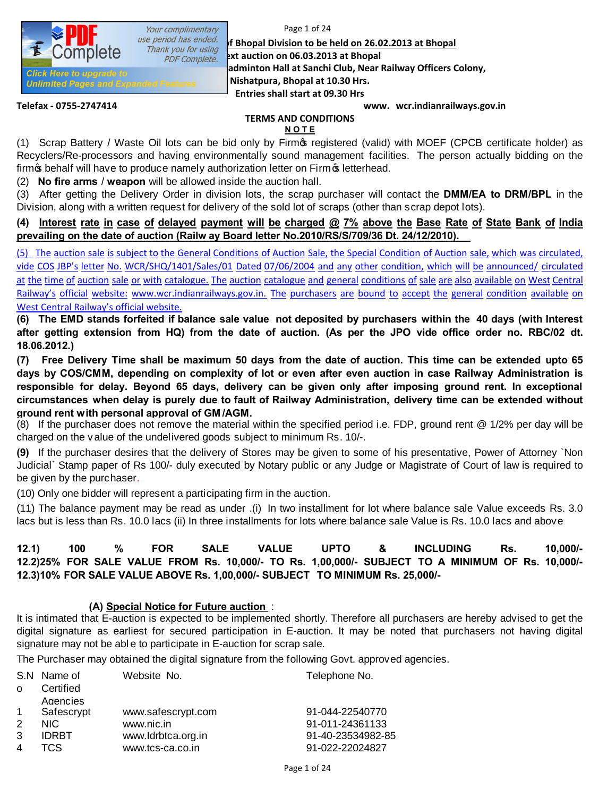*use period has ended.* **If Bhopal Division to be held on 26.02.2013 at Bhopal**<br>Thank you for using **if Bhopal** Reveater asing **BXt auction on 06.03.2013 at Bhopal** 

**Place & time of automobile Blace & time of automobile Sanchi Club, Near Railway Officers Colony, Place & time of automobile Sanchi Club**, Near Railway Officers Colony,

**Nishatpura, Bhopal at 10.30 Hrs.**

**Entries shall start at 09.30 Hrs**

**Unlimited Pages and Expanded Features** 

**Telefax - 0755-2747414 www. wcr.indianrailways.gov.in**

# **TERMS AND CONDITIONS**

#### **N O T E**

(1) Scrap Battery / Waste Oil lots can be bid only by Firm's registered (valid) with MOEF (CPCB certificate holder) as Recyclers/Re-processors and having environmentally sound management facilities. The person actually bidding on the firm  $\oint$  behalf will have to produce namely authorization letter on Firm  $\oint$  letterhead.

(2) **No fire arms** / **weapon** will be allowed inside the auction hall.

Your complimentary

(3) After getting the Delivery Order in division lots, the scrap purchaser will contact the **DMM/EA to DRM/BPL** in the Division, along with a written request for delivery of the sold lot of scraps (other than scrap depot lots).

### (4) Interest rate in case of delayed payment will be charged @ 7% above the Base Rate of State Bank of India **prevailing on the date of auction (Railw ay Board letter No.2010/RS/S/709/36 Dt. 24/12/2010).**

(5) The auction sale is subject to the General Conditions of Auction Sale, the Special Condition of Auction sale, which was circulated, vide COS JBP's letter No. WCR/SHQ/1401/Sales/01 Dated 07/06/2004 and any other condition, which will be announced/ circulated at the time of auction sale or with catalogue. The auction catalogue and general conditions of sale are also available on West Central Railway's official website: www.wcr.indianrailways.gov.in. The purchasers are bound to accept the general condition available on West Central Railway's official website.

(6) The EMD stands forfeited if balance sale value not deposited by purchasers within the 40 days (with Interest after getting extension from HQ) from the date of auction. (As per the JPO vide office order no. RBC/02 dt. **18.06.2012.)**

(7) Free Delivery Time shall be maximum 50 days from the date of auction. This time can be extended upto 65 days by COS/CMM, depending on complexity of lot or even after even auction in case Railway Administration is responsible for delay. Beyond 65 days, delivery can be given only after imposing ground rent. In exceptional circumstances when delay is purely due to fault of Railway Administration, delivery time can be extended without **ground rent with personal approval of GM /AGM.** 

(8) If the purchaser does not remove the material within the specified period i.e. FDP, ground rent @ 1/2% per day will be charged on the v alue of the undelivered goods subject to minimum Rs. 10/-.

**(9)** If the purchaser desires that the delivery of Stores may be given to some of his presentative, Power of Attorney `Non Judicial` Stamp paper of Rs 100/- duly executed by Notary public or any Judge or Magistrate of Court of law is required to be given by the purchaser.

(10) Only one bidder will represent a participating firm in the auction.

(11) The balance payment may be read as under .(i) In two installment for lot where balance sale Value exceeds Rs. 3.0 lacs but is less than Rs. 10.0 lacs (ii) In three installments for lots where balance sale Value is Rs. 10.0 lacs and above

# **12.1) 100 % FOR SALE VALUE UPTO & INCLUDING Rs. 10,000/- 12.2)25% FOR SALE VALUE FROM Rs. 10,000/- TO Rs. 1,00,000/- SUBJECT TO A MINIMUM OF Rs. 10,000/- 12.3)10% FOR SALE VALUE ABOVE Rs. 1,00,000/- SUBJECT TO MINIMUM Rs. 25,000/-**

# **(A) Special Notice for Future auction** :

It is intimated that E-auction is expected to be implemented shortly. Therefore all purchasers are hereby advised to get the digital signature as earliest for secured participation in E-auction. It may be noted that purchasers not having digital signature may not be abl e to participate in E-auction for scrap sale.

The Purchaser may obtained the digital signature from the following Govt. approved agencies.

|               | S.N Name of  | Website No.        | Telephone No.     |
|---------------|--------------|--------------------|-------------------|
| $\Omega$      | Certified    |                    |                   |
|               | Agencies     |                    |                   |
| $\mathbf{1}$  | Safescrypt   | www.safescrypt.com | 91-044-22540770   |
| $\mathcal{P}$ | NIC.         | www.nic.in         | 91-011-24361133   |
| 3             | <b>IDRBT</b> | www.ldrbtca.org.in | 91-40-23534982-85 |
| 4             | TCS.         | www.tcs-ca.co.in   | 91-022-22024827   |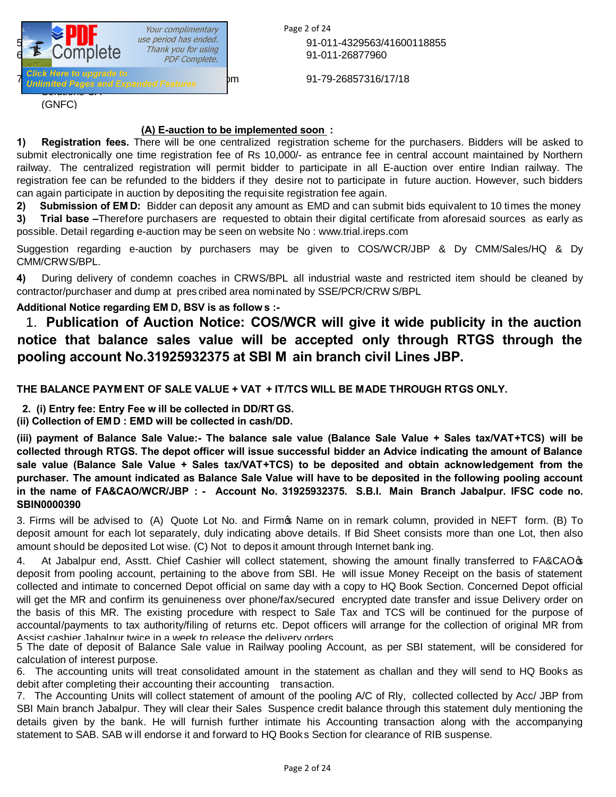

Page 2 of 24 91-011-4329563/41600118855 91-011-26877960

91-79-26857316/17/18

### **(A) E-auction to be implemented soon :**

**1) Registration fees.** There will be one centralized registration scheme for the purchasers. Bidders will be asked to submit electronically one time registration fee of Rs 10,000/- as entrance fee in central account maintained by Northern railway. The centralized registration will permit bidder to participate in all E-auction over entire Indian railway. The registration fee can be refunded to the bidders if they desire not to participate in future auction. However, such bidders can again participate in auction by depositing the requisite registration fee again.

**2) Submission of EM D:** Bidder can deposit any amount as EMD and can submit bids equivalent to 10 times the money

**3) Trial base –**Therefore purchasers are requested to obtain their digital certificate from aforesaid sources as early as possible. Detail regarding e-auction may be seen on website No : www.trial.ireps.com

Suggestion regarding e-auction by purchasers may be given to COS/WCR/JBP & Dy CMM/Sales/HQ & Dy CMM/CRWS/BPL.

**4)** During delivery of condemn coaches in CRWS/BPL all industrial waste and restricted item should be cleaned by contractor/purchaser and dump at pres cribed area nominated by SSE/PCR/CRW S/BPL

# **Additional Notice regarding EM D, BSV is as follow s :-**

1. **Publication of Auction Notice: COS/WCR will give it wide publicity in the auction notice that balance sales value will be accepted only through RTGS through the pooling account No.31925932375 at SBI M ain branch civil Lines JBP.** 

**THE BALANCE PAYM ENT OF SALE VALUE + VAT + IT/TCS WILL BE MADE THROUGH RTGS ONLY.**

 **2. (i) Entry fee: Entry Fee w ill be collected in DD/RT GS.** 

**(ii) Collection of EM D : EMD will be collected in cash/DD.** 

(iii) payment of Balance Sale Value:- The balance sale value (Balance Sale Value + Sales tax/VAT+TCS) will be collected through RTGS. The depot officer will issue successful bidder an Advice indicating the amount of Balance **sale value (Balance Sale Value + Sales tax/VAT+TCS) to be deposited and obtain acknowledgement from the** purchaser. The amount indicated as Balance Sale Value will have to be deposited in the following pooling account **in the name of FA&CAO/WCR/JBP : - Account No. 31925932375. S.B.I. Main Branch Jabalpur. IFSC code no. SBIN0000390** 

3. Firms will be advised to (A) Quote Lot No. and Firm's Name on in remark column, provided in NEFT form. (B) To deposit amount for each lot separately, duly indicating above details. If Bid Sheet consists more than one Lot, then also amount should be deposited Lot wise. (C) Not to depos it amount through Internet bank ing.

4. At Jabalpur end, Asstt. Chief Cashier will collect statement, showing the amount finally transferred to FA&CAO deposit from pooling account, pertaining to the above from SBI. He will issue Money Receipt on the basis of statement collected and intimate to concerned Depot official on same day with a copy to HQ Book Section. Concerned Depot official will get the MR and confirm its genuineness over phone/fax/secured encrypted date transfer and issue Delivery order on the basis of this MR. The existing procedure with respect to Sale Tax and TCS will be continued for the purpose of accountal/payments to tax authority/filing of returns etc. Depot officers will arrange for the collection of original MR from Assist cashier Jabalpur twice in a week to release the delivery orders.

5 The date of deposit of Balance Sale value in Railway pooling Account, as per SBI statement, will be considered for calculation of interest purpose.

6. The accounting units will treat consolidated amount in the statement as challan and they will send to HQ Books as debit after completing their accounting their accounting transaction.

7. The Accounting Units will collect statement of amount of the pooling A/C of Rly, collected collected by Acc/ JBP from SBI Main branch Jabalpur. They will clear their Sales Suspence credit balance through this statement duly mentioning the details given by the bank. He will furnish further intimate his Accounting transaction along with the accompanying statement to SAB. SAB w ill endorse it and forward to HQ Books Section for clearance of RIB suspense.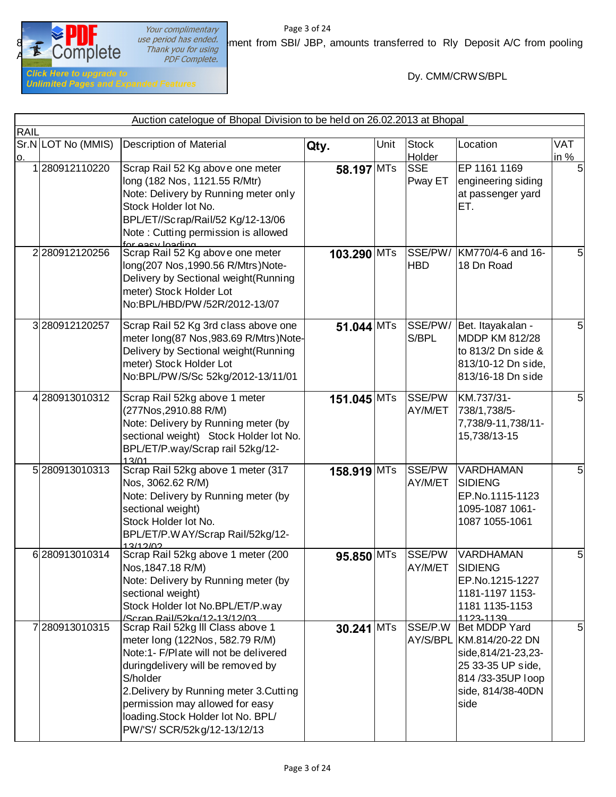

Your complimentary<br>
use period has ended.<br>
Thank you for using<br>
PDF Complete.

Page 3 of 24 **BECON The Section has ended.** Supering the statement from SBI/ JBP, amounts transferred to Rly Deposit A/C from pooling mpletering thank you for using

Dy. CMM/CRWS/BPL

|             |                    | Auction catelogue of Bhopal Division to be held on 26.02.2013 at Bhopal                                                                                                                                                                                                                                           |              |      |                        |                                                                                                                                       |                    |
|-------------|--------------------|-------------------------------------------------------------------------------------------------------------------------------------------------------------------------------------------------------------------------------------------------------------------------------------------------------------------|--------------|------|------------------------|---------------------------------------------------------------------------------------------------------------------------------------|--------------------|
| <b>RAIL</b> |                    |                                                                                                                                                                                                                                                                                                                   |              |      |                        |                                                                                                                                       |                    |
| <u>0.</u>   | Sr.N LOT No (MMIS) | <b>Description of Material</b>                                                                                                                                                                                                                                                                                    | Qty.         | Unit | <b>Stock</b><br>Holder | Location                                                                                                                              | <b>VAT</b><br>in % |
|             | 280912110220       | Scrap Rail 52 Kg above one meter<br>long (182 Nos, 1121.55 R/Mtr)<br>Note: Delivery by Running meter only<br>Stock Holder lot No.<br>BPL/ET//Scrap/Rail/52 Kg/12-13/06<br>Note: Cutting permission is allowed<br>for easy loading                                                                                 | 58.197 MTs   |      | <b>SSE</b><br>Pway ET  | EP 1161 1169<br>engineering siding<br>at passenger yard<br>ET.                                                                        | 5                  |
|             | 2280912120256      | Scrap Rail 52 Kg above one meter<br>long(207 Nos, 1990.56 R/Mtrs)Note-<br>Delivery by Sectional weight(Running<br>meter) Stock Holder Lot<br>No:BPL/HBD/PW/52R/2012-13/07                                                                                                                                         | 103.290 MTs  |      | SSE/PW/<br><b>HBD</b>  | KM770/4-6 and 16-<br>18 Dn Road                                                                                                       | 5                  |
|             | 3280912120257      | Scrap Rail 52 Kg 3rd class above one<br>meter long(87 Nos, 983.69 R/Mtrs)Note-<br>Delivery by Sectional weight(Running<br>meter) Stock Holder Lot<br>No:BPL/PW/S/Sc 52kg/2012-13/11/01                                                                                                                            | $51.044$ MTs |      | SSE/PW/<br>S/BPL       | Bet. Itayakalan -<br><b>MDDP KM 812/28</b><br>to 813/2 Dn side &<br>813/10-12 Dn side,<br>813/16-18 Dn side                           | 5                  |
|             | 4280913010312      | Scrap Rail 52kg above 1 meter<br>(277Nos, 2910.88 R/M)<br>Note: Delivery by Running meter (by<br>sectional weight) Stock Holder lot No.<br>BPL/ET/P.way/Scrap rail 52kg/12-<br>13/01                                                                                                                              | 151.045 MTs  |      | SSE/PW<br>AY/M/ET      | KM.737/31-<br>738/1,738/5-<br>7,738/9-11,738/11-<br>15,738/13-15                                                                      | 5                  |
|             | 5280913010313      | Scrap Rail 52kg above 1 meter (317<br>Nos, 3062.62 R/M)<br>Note: Delivery by Running meter (by<br>sectional weight)<br>Stock Holder lot No.<br>BPL/ET/P.WAY/Scrap Rail/52kg/12-<br>12/12/02                                                                                                                       | 158.919 MTs  |      | SSE/PW<br>AY/M/ET      | VARDHAMAN<br><b>SIDIENG</b><br>EP.No.1115-1123<br>1095-1087 1061-<br>1087 1055-1061                                                   | 5                  |
|             | 6 280913010314     | Scrap Rail 52kg above 1 meter (200<br>Nos, 1847.18 R/M)<br>Note: Delivery by Running meter (by<br>sectional weight)<br>Stock Holder lot No.BPL/ET/P.way<br>/Scran Rail/52kg/12-13/12/03                                                                                                                           | 95.850 MTs   |      | SSE/PW<br>AY/M/ET      | VARDHAMAN<br><b>ISIDIENG</b><br>EP.No.1215-1227<br>1181-1197 1153-<br>1181 1135-1153<br>1123-1139                                     | 5                  |
|             | 7280913010315      | Scrap Rail 52kg III Class above 1<br>meter long (122Nos, 582.79 R/M)<br>Note:1- F/Plate will not be delivered<br>duringdelivery will be removed by<br>S/holder<br>2. Delivery by Running meter 3. Cutting<br>permission may allowed for easy<br>loading.Stock Holder lot No. BPL/<br>PW/'S'/ SCR/52kg/12-13/12/13 | $30.241$ MTs |      | SSE/P.W                | Bet MDDP Yard<br>AY/S/BPL KM.814/20-22 DN<br>side,814/21-23,23-<br>25 33-35 UP side,<br>814/33-35UP loop<br>side, 814/38-40DN<br>side | 5                  |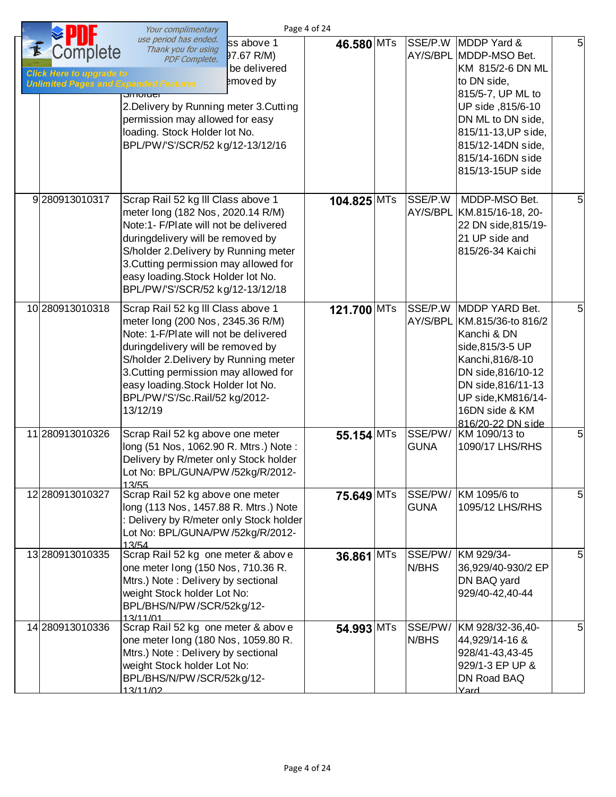|                                                                                             | Your complimentary                                                                                                                                                                                                                                                                                                          | Page 4 of 24                                          |             |                        |                                                                                                                                                                                                                             |                |
|---------------------------------------------------------------------------------------------|-----------------------------------------------------------------------------------------------------------------------------------------------------------------------------------------------------------------------------------------------------------------------------------------------------------------------------|-------------------------------------------------------|-------------|------------------------|-----------------------------------------------------------------------------------------------------------------------------------------------------------------------------------------------------------------------------|----------------|
| Complete<br><b>Click Here to upgrade to</b><br><b>Unlimited Pages and Expanded Features</b> | use period has ended.<br>Thank you for using<br>PDF Complete.<br>$JIIUIIUII$<br>2. Delivery by Running meter 3. Cutting<br>permission may allowed for easy<br>loading. Stock Holder lot No.<br>BPL/PW/'S'/SCR/52 kg/12-13/12/16                                                                                             | ss above 1<br>97.67 R/M)<br>be delivered<br>emoved by | 46.580 MTs  | SSE/P.W                | MDDP Yard &<br>AY/S/BPL MDDP-MSO Bet.<br>KM 815/2-6 DN ML<br>to DN side,<br>815/5-7, UP ML to<br>UP side ,815/6-10<br>DN ML to DN side,<br>815/11-13, UP side,<br>815/12-14DN side,<br>815/14-16DN side<br>815/13-15UP side | 5              |
| 9280913010317                                                                               | Scrap Rail 52 kg III Class above 1<br>meter long (182 Nos, 2020.14 R/M)<br>Note:1- F/Plate will not be delivered<br>duringdelivery will be removed by<br>S/holder 2. Delivery by Running meter<br>3. Cutting permission may allowed for<br>easy loading. Stock Holder lot No.<br>BPL/PW/'S'/SCR/52 kg/12-13/12/18           |                                                       | 104.825 MTs | SSE/P.W                | MDDP-MSO Bet.<br>AY/S/BPL KM.815/16-18, 20-<br>22 DN side, 815/19-<br>21 UP side and<br>815/26-34 Kaichi                                                                                                                    | 5              |
| 10 280913010318                                                                             | Scrap Rail 52 kg III Class above 1<br>meter long (200 Nos, 2345.36 R/M)<br>Note: 1-F/Plate will not be delivered<br>duringdelivery will be removed by<br>S/holder 2. Delivery by Running meter<br>3. Cutting permission may allowed for<br>easy loading. Stock Holder lot No.<br>BPL/PW/'S'/Sc.Rail/52 kg/2012-<br>13/12/19 |                                                       | 121.700 MTs | SSE/P.W                | MDDP YARD Bet.<br>AY/S/BPL KM.815/36-to 816/2<br>Kanchi & DN<br>side, 815/3-5 UP<br>Kanchi, 816/8-10<br>DN side, 816/10-12<br>DN side, 816/11-13<br>UP side, KM816/14-<br>16DN side & KM<br>816/20-22 DN side               | 5              |
| 11 280913010326                                                                             | Scrap Rail 52 kg above one meter<br>long (51 Nos, 1062.90 R. Mtrs.) Note:<br>Delivery by R/meter only Stock holder<br>Lot No: BPL/GUNA/PW /52kg/R/2012-<br>13/55                                                                                                                                                            |                                                       | 55.154 MTs  | SSE/PW/<br><b>GUNA</b> | KM 1090/13 to<br>1090/17 LHS/RHS                                                                                                                                                                                            | 5              |
| 12 280913010327                                                                             | Scrap Rail 52 kg above one meter<br>long (113 Nos, 1457.88 R. Mtrs.) Note<br>: Delivery by R/meter only Stock holder<br>Lot No: BPL/GUNA/PW /52kg/R/2012-<br>13/54                                                                                                                                                          |                                                       | 75.649 MTs  | SSE/PW/<br><b>GUNA</b> | KM 1095/6 to<br>1095/12 LHS/RHS                                                                                                                                                                                             | 5 <sup>1</sup> |
| 13 280913010335                                                                             | Scrap Rail 52 kg one meter & above<br>one meter long (150 Nos, 710.36 R.<br>Mtrs.) Note: Delivery by sectional<br>weight Stock holder Lot No:<br>BPL/BHS/N/PW/SCR/52kg/12-<br>13/11/01                                                                                                                                      |                                                       | 36.861 MTs  | SSE/PW/<br>N/BHS       | KM 929/34-<br>36,929/40-930/2 EP<br>DN BAQ yard<br>929/40-42,40-44                                                                                                                                                          | 5              |
| 14 280913010336                                                                             | Scrap Rail 52 kg one meter & above<br>one meter long (180 Nos, 1059.80 R.<br>Mtrs.) Note: Delivery by sectional<br>weight Stock holder Lot No:<br>BPL/BHS/N/PW/SCR/52kg/12-<br>13/11/02                                                                                                                                     |                                                       | 54.993 MTs  | SSE/PW/<br>N/BHS       | KM 928/32-36,40-<br>44,929/14-16 &<br>928/41-43,43-45<br>929/1-3 EP UP &<br>DN Road BAQ<br>Yard                                                                                                                             | 5              |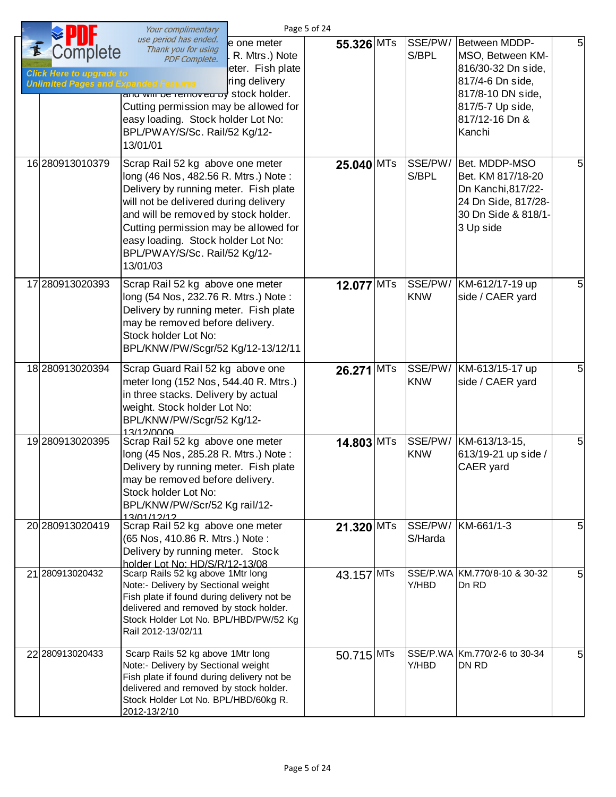|                                                                                             | Your complimentary                                                                                                                                                                                                                                                                                                             |                                                                     | Page 5 of 24 |                       |                                                                                                                                                  |   |
|---------------------------------------------------------------------------------------------|--------------------------------------------------------------------------------------------------------------------------------------------------------------------------------------------------------------------------------------------------------------------------------------------------------------------------------|---------------------------------------------------------------------|--------------|-----------------------|--------------------------------------------------------------------------------------------------------------------------------------------------|---|
| Complete<br><b>Click Here to upgrade to</b><br><b>Unlimited Pages and Expanded Features</b> | use period has ended.<br>Thank you for using<br><b>PDF Complete.</b><br>and will be removed by stock holder.<br>Cutting permission may be allowed for<br>easy loading. Stock holder Lot No:<br>BPL/PWAY/S/Sc. Rail/52 Kg/12-<br>13/01/01                                                                                       | e one meter<br>R. Mtrs.) Note<br>leter. Fish plate<br>ring delivery | 55.326 MTs   | SSE/PW/<br>S/BPL      | Between MDDP-<br>MSO, Between KM-<br>816/30-32 Dn side,<br>817/4-6 Dn side,<br>817/8-10 DN side,<br>817/5-7 Up side,<br>817/12-16 Dn &<br>Kanchi | 5 |
| 16 280913010379                                                                             | Scrap Rail 52 kg above one meter<br>long (46 Nos, 482.56 R. Mtrs.) Note:<br>Delivery by running meter. Fish plate<br>will not be delivered during delivery<br>and will be removed by stock holder.<br>Cutting permission may be allowed for<br>easy loading. Stock holder Lot No:<br>BPL/PWAY/S/Sc. Rail/52 Kg/12-<br>13/01/03 |                                                                     | 25.040 MTs   | SSE/PW/<br>S/BPL      | Bet. MDDP-MSO<br>Bet. KM 817/18-20<br>Dn Kanchi, 817/22-<br>24 Dn Side, 817/28-<br>30 Dn Side & 818/1-<br>3 Up side                              | 5 |
| 17 280913020393                                                                             | Scrap Rail 52 kg above one meter<br>long (54 Nos, 232.76 R. Mtrs.) Note:<br>Delivery by running meter. Fish plate<br>may be removed before delivery.<br>Stock holder Lot No:<br>BPL/KNW/PW/Scgr/52 Kg/12-13/12/11                                                                                                              |                                                                     | 12.077 MTs   | SSE/PW/<br><b>KNW</b> | KM-612/17-19 up<br>side / CAER yard                                                                                                              | 5 |
| 18 280913020394                                                                             | Scrap Guard Rail 52 kg above one<br>meter long (152 Nos, 544.40 R. Mtrs.)<br>in three stacks. Delivery by actual<br>weight. Stock holder Lot No:<br>BPL/KNW/PW/Scgr/52 Kg/12-<br>13/12/0009                                                                                                                                    |                                                                     | 26.271 MTs   | SSE/PW/<br><b>KNW</b> | KM-613/15-17 up<br>side / CAER yard                                                                                                              | 5 |
| 19 280913020395                                                                             | Scrap Rail 52 kg above one meter<br>long (45 Nos, 285.28 R. Mtrs.) Note:<br>Delivery by running meter. Fish plate<br>may be removed before delivery.<br>Stock holder Lot No:<br>BPL/KNW/PW/Scr/52 Kg rail/12-<br>13/01/12/12                                                                                                   |                                                                     | 14.803 MTs   | SSE/PW/<br><b>KNW</b> | KM-613/13-15,<br>613/19-21 up side /<br>CAER yard                                                                                                | 5 |
| 20 280913020419                                                                             | Scrap Rail 52 kg above one meter<br>(65 Nos, 410.86 R. Mtrs.) Note:<br>Delivery by running meter. Stock<br>holder Lot No: HD/S/R/12-13/08                                                                                                                                                                                      |                                                                     | 21.320 MTs   | SSE/PW/<br>S/Harda    | KM-661/1-3                                                                                                                                       | 5 |
| 21 280913020432                                                                             | Scarp Rails 52 kg above 1Mtr long<br>Note:- Delivery by Sectional weight<br>Fish plate if found during delivery not be<br>delivered and removed by stock holder.<br>Stock Holder Lot No. BPL/HBD/PW/52 Kg<br>Rail 2012-13/02/11                                                                                                |                                                                     | 43.157 MTs   | Y/HBD                 | SSE/P.WA KM.770/8-10 & 30-32<br>Dn RD                                                                                                            | 5 |
| 22 280913020433                                                                             | Scarp Rails 52 kg above 1Mtr long<br>Note:- Delivery by Sectional weight<br>Fish plate if found during delivery not be<br>delivered and removed by stock holder.<br>Stock Holder Lot No. BPL/HBD/60kg R.<br>2012-13/2/10                                                                                                       |                                                                     | 50.715 MTs   | Y/HBD                 | SSE/P.WA Km.770/2-6 to 30-34<br>DN RD                                                                                                            | 5 |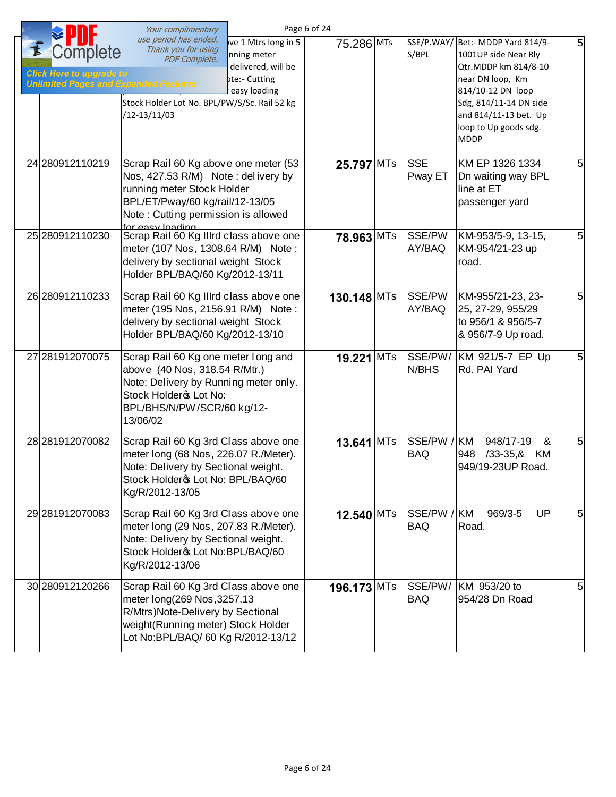|                                                                                            | Your complimentary                                                                                                                                                                                                             | Page 6 of 24 |            |                           |                                                                                                                                                                                                                        |                |
|--------------------------------------------------------------------------------------------|--------------------------------------------------------------------------------------------------------------------------------------------------------------------------------------------------------------------------------|--------------|------------|---------------------------|------------------------------------------------------------------------------------------------------------------------------------------------------------------------------------------------------------------------|----------------|
| omplete<br><b>Click Here to upgrade to</b><br><b>Unlimited Pages and Expanded Features</b> | use period has ended.<br>ive 1 Mtrs long in 5<br>Thank you for using<br>Inning meter<br>PDF Complete.<br>delivered, will be<br>ote:- Cutting<br>r easy loading<br>Stock Holder Lot No. BPL/PW/S/Sc. Rail 52 kg<br>/12-13/11/03 | 75.286 MTs   |            | S/BPL                     | SSE/P.WAY/ Bet :- MDDP Yard 814/9-<br>1001UP side Near Rly<br>Qtr.MDDP km 814/8-10<br>near DN loop, Km<br>814/10-12 DN loop<br>Sdg, 814/11-14 DN side<br>and 814/11-13 bet. Up<br>loop to Up goods sdg.<br><b>MDDP</b> | 5 <sup>1</sup> |
| 24 280912110219                                                                            | Scrap Rail 60 Kg above one meter (53<br>Nos, 427.53 R/M) Note: delivery by<br>running meter Stock Holder<br>BPL/ET/Pway/60 kg/rail/12-13/05<br>Note: Cutting permission is allowed<br>for easy loading                         | 25.797 MTs   |            | <b>SSE</b><br>Pway ET     | KM EP 1326 1334<br>Dn waiting way BPL<br>line at ET<br>passenger yard                                                                                                                                                  | 5              |
| 25 280912110230                                                                            | Scrap Rail 60 Kg Illrd class above one<br>meter (107 Nos, 1308.64 R/M) Note:<br>delivery by sectional weight Stock<br>Holder BPL/BAQ/60 Kg/2012-13/11                                                                          | 78.963 MTs   |            | SSE/PW<br>AY/BAQ          | KM-953/5-9, 13-15,<br>KM-954/21-23 up<br>road.                                                                                                                                                                         | 5              |
| 26 280912110233                                                                            | Scrap Rail 60 Kg Illrd class above one<br>meter (195 Nos, 2156.91 R/M) Note:<br>delivery by sectional weight Stock<br>Holder BPL/BAQ/60 Kg/2012-13/10                                                                          | 130.148 MTs  |            | SSE/PW<br>AY/BAQ          | KM-955/21-23, 23-<br>25, 27-29, 955/29<br>to 956/1 & 956/5-7<br>& 956/7-9 Up road.                                                                                                                                     | 5              |
| 27 281912070075                                                                            | Scrap Rail 60 Kg one meter long and<br>above (40 Nos, 318.54 R/Mtr.)<br>Note: Delivery by Running meter only.<br>Stock Holdero Lot No:<br>BPL/BHS/N/PW/SCR/60 kg/12-<br>13/06/02                                               | 19.221       | <b>MTs</b> | SSE/PW/<br>N/BHS          | KM 921/5-7 EP Up<br>Rd. PAI Yard                                                                                                                                                                                       | 5              |
| 28 281912070082                                                                            | Scrap Rail 60 Kg 3rd Class above one<br>meter long (68 Nos, 226.07 R./Meter).<br>Note: Delivery by Sectional weight.<br>Stock Holdero Lot No: BPL/BAQ/60<br>Kg/R/2012-13/05                                                    | 13.641 MTs   |            | SSE/PW<br><b>BAQ</b>      | KM<br>948/17-19<br>&<br>$/33 - 35,8$<br>948<br>KM<br>949/19-23UP Road.                                                                                                                                                 | 5              |
| 29 281912070083                                                                            | Scrap Rail 60 Kg 3rd Class above one<br>meter long (29 Nos, 207.83 R./Meter).<br>Note: Delivery by Sectional weight.<br>Stock Holder & Lot No: BPL/BAQ/60<br>Kg/R/2012-13/06                                                   | 12.540 MTs   |            | SSE/PW / KM<br><b>BAQ</b> | 969/3-5<br>UP<br>Road.                                                                                                                                                                                                 | 5              |
| 30 280912120266                                                                            | Scrap Rail 60 Kg 3rd Class above one<br>meter long(269 Nos, 3257.13<br>R/Mtrs)Note-Delivery by Sectional<br>weight(Running meter) Stock Holder<br>Lot No:BPL/BAQ/ 60 Kg R/2012-13/12                                           | 196.173 MTs  |            | SSE/PW/<br><b>BAQ</b>     | KM 953/20 to<br>954/28 Dn Road                                                                                                                                                                                         | 5              |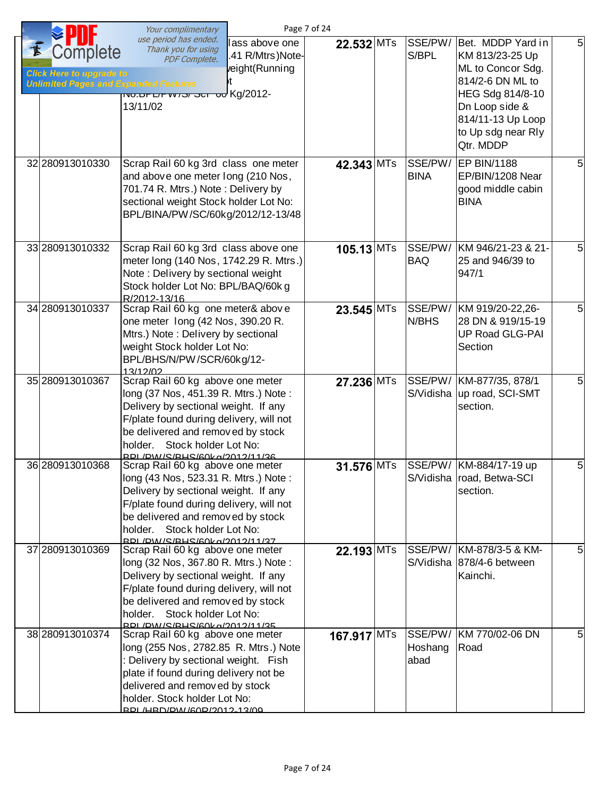|                                                                                                     | Your complimentary                                                                                                                                                                                                                                                        | Page 7 of 24 |                            |                                                                                                                                                                             |                |
|-----------------------------------------------------------------------------------------------------|---------------------------------------------------------------------------------------------------------------------------------------------------------------------------------------------------------------------------------------------------------------------------|--------------|----------------------------|-----------------------------------------------------------------------------------------------------------------------------------------------------------------------------|----------------|
| <i>C</i> omplete<br><b>Click Here to upgrade to</b><br><b>Unlimited Pages and Expanded Features</b> | use period has ended.<br>lass above one<br>Thank you for using<br>.41 R/Mtrs)Note-<br>PDF Complete.<br>veight(Running<br>νt.<br>-Kg/2012 טס וט <i>פ ופו</i> זידעדאס.טאו<br>13/11/02                                                                                       | $22.532$ MTs | SSE/PW/<br>S/BPL           | Bet. MDDP Yard in<br>KM 813/23-25 Up<br>ML to Concor Sdg.<br>814/2-6 DN ML to<br>HEG Sdg 814/8-10<br>Dn Loop side &<br>814/11-13 Up Loop<br>to Up sdg near Rly<br>Qtr. MDDP | 5 <sup>1</sup> |
| 32 280913010330                                                                                     | Scrap Rail 60 kg 3rd class one meter<br>and above one meter long (210 Nos,<br>701.74 R. Mtrs.) Note: Delivery by<br>sectional weight Stock holder Lot No:<br>BPL/BINA/PW/SC/60kg/2012/12-13/48                                                                            | 42.343 MTs   | SSE/PW/<br><b>BINA</b>     | <b>EP BIN/1188</b><br>EP/BIN/1208 Near<br>good middle cabin<br><b>BINA</b>                                                                                                  | 5              |
| 33 280913010332                                                                                     | Scrap Rail 60 kg 3rd class above one<br>meter long (140 Nos, 1742.29 R. Mtrs.)<br>Note: Delivery by sectional weight<br>Stock holder Lot No: BPL/BAQ/60k g<br>R/2012-13/16                                                                                                | $105.13$ MTs | SSE/PW/<br><b>BAQ</b>      | KM 946/21-23 & 21-<br>25 and 946/39 to<br>947/1                                                                                                                             | 5              |
| 34 280913010337                                                                                     | Scrap Rail 60 kg one meter& above<br>one meter long (42 Nos, 390.20 R.<br>Mtrs.) Note: Delivery by sectional<br>weight Stock holder Lot No:<br>BPL/BHS/N/PW/SCR/60kg/12-<br>13/12/02                                                                                      | 23.545 MTs   | SSE/PW/<br>N/BHS           | KM 919/20-22,26-<br>28 DN & 919/15-19<br><b>UP Road GLG-PAI</b><br>Section                                                                                                  | 5              |
| 35 280913010367                                                                                     | Scrap Rail 60 kg above one meter<br>long (37 Nos, 451.39 R. Mtrs.) Note:<br>Delivery by sectional weight. If any<br>F/plate found during delivery, will not<br>be delivered and removed by stock<br>holder.<br>Stock holder Lot No:<br>RDI / DIM / S/RHS/60k a/2012/11/36 | 27.236 MTs   |                            | SSE/PW/ KM-877/35, 878/1<br>S/Vidisha   up road, SCI-SMT<br>section.                                                                                                        | 5              |
| 36 280913010368                                                                                     | Scrap Rail 60 kg above one meter<br>long (43 Nos, 523.31 R. Mtrs.) Note:<br>Delivery by sectional weight. If any<br>F/plate found during delivery, will not<br>be delivered and removed by stock<br>holder. Stock holder Lot No:<br>RPL/PW/S/RHS/60kg/2012/11/37          | 31.576 MTs   |                            | SSE/PW/ KM-884/17-19 up<br>S/Vidisha road, Betwa-SCI<br>section.                                                                                                            | 5              |
| 37 280913010369                                                                                     | Scrap Rail 60 kg above one meter<br>long (32 Nos, 367.80 R. Mtrs.) Note:<br>Delivery by sectional weight. If any<br>F/plate found during delivery, will not<br>be delivered and removed by stock<br>holder. Stock holder Lot No:<br>RDI / DW / S/RHS/60k a/2012/11/35     | 22.193 MTs   |                            | SSE/PW/ KM-878/3-5 & KM-<br>S/Vidisha 878/4-6 between<br>Kainchi.                                                                                                           | 5              |
| 38 280913010374                                                                                     | Scrap Rail 60 kg above one meter<br>long (255 Nos, 2782.85 R. Mtrs.) Note<br>: Delivery by sectional weight. Fish<br>plate if found during delivery not be<br>delivered and removed by stock<br>holder. Stock holder Lot No:<br>RDI /HRD/PW/60R/2012-13/09                | 167.917 MTs  | SSE/PW/<br>Hoshang<br>abad | KM 770/02-06 DN<br>Road                                                                                                                                                     | 5              |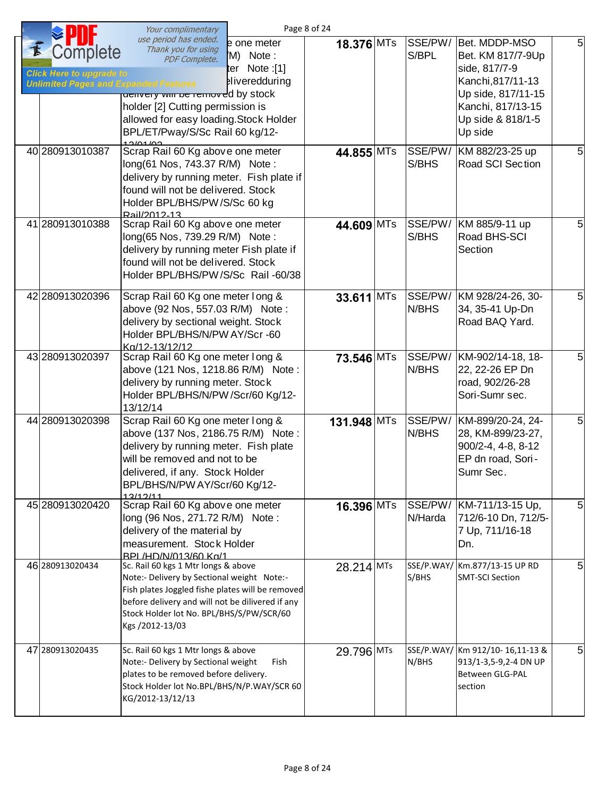|                                                                                             | Your complimentary                                                                                                                                                                                                                                       |                                                                    | Page 8 of 24 |                  |                                                                                                                                                     |   |
|---------------------------------------------------------------------------------------------|----------------------------------------------------------------------------------------------------------------------------------------------------------------------------------------------------------------------------------------------------------|--------------------------------------------------------------------|--------------|------------------|-----------------------------------------------------------------------------------------------------------------------------------------------------|---|
| complete<br><b>Click Here to upgrade to</b><br><b>Unlimited Pages and Expanded Features</b> | use period has ended.<br>Thank you for using<br><b>PDF Complete.</b><br>denvery win be removed by stock<br>holder [2] Cutting permission is<br>allowed for easy loading. Stock Holder<br>BPL/ET/Pway/S/Sc Rail 60 kg/12-                                 | e one meter<br>'M) Note:<br>ter Note :[1]<br><b>aliveredduring</b> | 18.376 MTs   | SSE/PW/<br>S/BPL | Bet. MDDP-MSO<br>Bet. KM 817/7-9Up<br>side, 817/7-9<br>Kanchi, 817/11-13<br>Up side, 817/11-15<br>Kanchi, 817/13-15<br>Up side & 818/1-5<br>Up side | 5 |
| 40 280913010387                                                                             | Scrap Rail 60 Kg above one meter<br>long(61 Nos, 743.37 R/M) Note:<br>delivery by running meter. Fish plate if<br>found will not be delivered. Stock<br>Holder BPL/BHS/PW/S/Sc 60 kg<br>Rail/2012-13                                                     |                                                                    | 44.855 MTs   | SSE/PW/<br>S/BHS | KM 882/23-25 up<br>Road SCI Section                                                                                                                 | 5 |
| 41 280913010388                                                                             | Scrap Rail 60 Kg above one meter<br>long(65 Nos, 739.29 R/M) Note:<br>delivery by running meter Fish plate if<br>found will not be delivered. Stock<br>Holder BPL/BHS/PW/S/Sc Rail -60/38                                                                |                                                                    | 44.609 MTs   | S/BHS            | SSE/PW/ KM 885/9-11 up<br>Road BHS-SCI<br>Section                                                                                                   | 5 |
| 42 280913020396                                                                             | Scrap Rail 60 Kg one meter long &<br>above (92 Nos, 557.03 R/M) Note:<br>delivery by sectional weight. Stock<br>Holder BPL/BHS/N/PW AY/Scr -60<br>Ka/12-13/12/12                                                                                         |                                                                    | 33.611 MTs   | N/BHS            | SSE/PW/ KM 928/24-26, 30-<br>34, 35-41 Up-Dn<br>Road BAQ Yard.                                                                                      | 5 |
| 43 280913020397                                                                             | Scrap Rail 60 Kg one meter long &<br>above (121 Nos, 1218.86 R/M) Note:<br>delivery by running meter. Stock<br>Holder BPL/BHS/N/PW /Scr/60 Kg/12-<br>13/12/14                                                                                            |                                                                    | 73.546 MTs   | SSE/PW/<br>N/BHS | KM-902/14-18, 18-<br>22, 22-26 EP Dn<br>road, 902/26-28<br>Sori-Sumr sec.                                                                           | 5 |
| 44 280913020398                                                                             | Scrap Rail 60 Kg one meter long &<br>above (137 Nos, 2186.75 R/M) Note:<br>delivery by running meter. Fish plate<br>will be removed and not to be<br>delivered, if any. Stock Holder<br>BPL/BHS/N/PW AY/Scr/60 Kg/12-<br>12/12/11                        |                                                                    | 131.948 MTs  | SSE/PW/<br>N/BHS | KM-899/20-24, 24-<br>28, KM-899/23-27,<br>900/2-4, 4-8, 8-12<br>EP dn road, Sori-<br>Sumr Sec.                                                      | 5 |
| 45 280913020420                                                                             | Scrap Rail 60 Kg above one meter<br>long (96 Nos, 271.72 R/M) Note:<br>delivery of the material by<br>measurement. Stock Holder<br>BPI /HD/N/013/60 Kg/1                                                                                                 |                                                                    | $16.396$ MTs | N/Harda          | SSE/PW/ KM-711/13-15 Up,<br>712/6-10 Dn, 712/5-<br>7 Up, 711/16-18<br>Dn.                                                                           | 5 |
| 46 280913020434                                                                             | Sc. Rail 60 kgs 1 Mtr longs & above<br>Note:- Delivery by Sectional weight Note:-<br>Fish plates Joggled fishe plates will be removed<br>before delivery and will not be dilivered if any<br>Stock Holder lot No. BPL/BHS/S/PW/SCR/60<br>Kgs /2012-13/03 |                                                                    | 28.214 MTs   | S/BHS            | SSE/P.WAY/ Km.877/13-15 UP RD<br><b>SMT-SCI Section</b>                                                                                             | 5 |
| 47 280913020435                                                                             | Sc. Rail 60 kgs 1 Mtr longs & above<br>Note:- Delivery by Sectional weight<br>plates to be removed before delivery.<br>Stock Holder lot No.BPL/BHS/N/P.WAY/SCR 60<br>KG/2012-13/12/13                                                                    | Fish                                                               | 29.796 MTs   | N/BHS            | SSE/P.WAY/ Km 912/10-16,11-13 &<br>913/1-3,5-9,2-4 DN UP<br>Between GLG-PAL<br>section                                                              | 5 |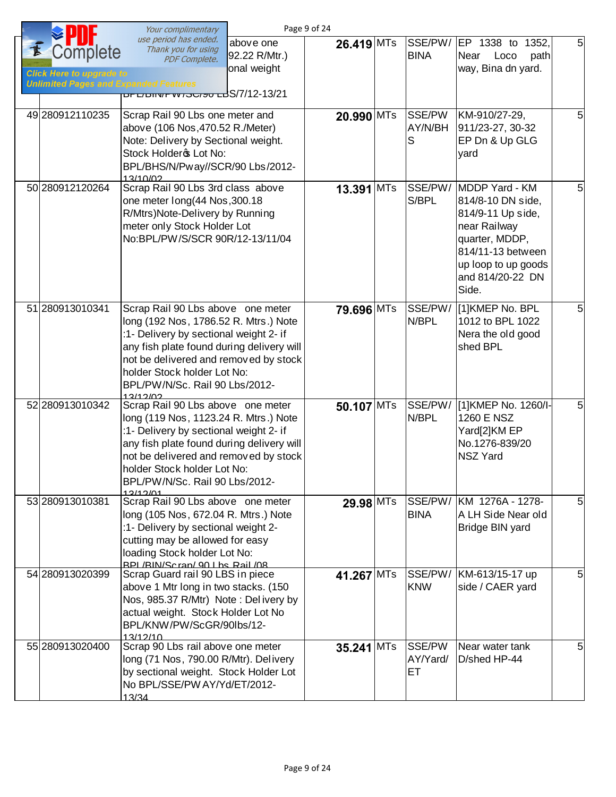|                                                                                             | Your complimentary                                                                                                                                                                                                                                                                      |                                           | Page 9 of 24 |                          |                                                                                                                                                                     |                |
|---------------------------------------------------------------------------------------------|-----------------------------------------------------------------------------------------------------------------------------------------------------------------------------------------------------------------------------------------------------------------------------------------|-------------------------------------------|--------------|--------------------------|---------------------------------------------------------------------------------------------------------------------------------------------------------------------|----------------|
| Complete<br><b>Click Here to upgrade to</b><br><b>Unlimited Pages and Expanded Features</b> | use period has ended.<br>Thank you for using<br><b>PDF Complete.</b><br>S/7/12-13/21 ט <del>פוטסו אין דו</del> סט                                                                                                                                                                       | above one<br>92.22 R/Mtr.)<br>onal weight | 26.419 MTs   | SSE/PW/<br><b>BINA</b>   | EP 1338 to 1352,<br>Near<br>path<br>Loco<br>way, Bina dn yard.                                                                                                      | $\overline{5}$ |
| 49 280912110235                                                                             | Scrap Rail 90 Lbs one meter and<br>above (106 Nos, 470.52 R./Meter)<br>Note: Delivery by Sectional weight.<br>Stock Holdero Lot No:<br>BPL/BHS/N/Pway//SCR/90 Lbs/2012-<br>13/10/02                                                                                                     |                                           | 20.990 MTs   | SSE/PW<br>AY/N/BH<br>S   | KM-910/27-29,<br>911/23-27, 30-32<br>EP Dn & Up GLG<br>yard                                                                                                         | 5              |
| 50 280912120264                                                                             | Scrap Rail 90 Lbs 3rd class above<br>one meter long(44 Nos, 300.18<br>R/Mtrs)Note-Delivery by Running<br>meter only Stock Holder Lot<br>No:BPL/PW/S/SCR 90R/12-13/11/04                                                                                                                 |                                           | 13.391 MTs   | SSE/PW/<br>S/BPL         | MDDP Yard - KM<br>814/8-10 DN side,<br>814/9-11 Up side,<br>near Railway<br>quarter, MDDP,<br>814/11-13 between<br>up loop to up goods<br>and 814/20-22 DN<br>Side. | 5              |
| 51 280913010341                                                                             | Scrap Rail 90 Lbs above one meter<br>long (192 Nos, 1786.52 R. Mtrs.) Note<br>:1- Delivery by sectional weight 2- if<br>any fish plate found during delivery will<br>not be delivered and removed by stock<br>holder Stock holder Lot No:<br>BPL/PW/N/Sc. Rail 90 Lbs/2012-<br>12/12/12 |                                           | 79.696 MTs   | SSE/PW/<br>N/BPL         | [1]KMEP No. BPL<br>1012 to BPL 1022<br>Nera the old good<br>shed BPL                                                                                                | 5              |
| 52 280913010342                                                                             | Scrap Rail 90 Lbs above one meter<br>long (119 Nos, 1123.24 R. Mtrs.) Note<br>:1- Delivery by sectional weight 2- if<br>any fish plate found during delivery will<br>not be delivered and removed by stock<br>holder Stock holder Lot No:<br>BPL/PW/N/Sc. Rail 90 Lbs/2012-<br>12/12/01 |                                           | $50.107$ MTs | SSE/PW/<br>N/BPL         | [1] KMEP No. 1260/I-<br>1260 E NSZ<br>Yard[2]KM EP<br>No.1276-839/20<br><b>NSZ Yard</b>                                                                             | 5              |
| 53 280913010381                                                                             | Scrap Rail 90 Lbs above one meter<br>long (105 Nos, 672.04 R. Mtrs.) Note<br>:1- Delivery by sectional weight 2-<br>cutting may be allowed for easy<br>loading Stock holder Lot No:<br>RPL/RIN/Scran/ 90 Lhs Rail /08                                                                   |                                           | 29.98 MTs    | SSE/PW/<br><b>BINA</b>   | KM 1276A - 1278-<br>A LH Side Near old<br>Bridge BIN yard                                                                                                           | 5              |
| 54 280913020399                                                                             | Scrap Guard rail 90 LBS in piece<br>above 1 Mtr long in two stacks. (150<br>Nos, 985.37 R/Mtr) Note: Delivery by<br>actual weight. Stock Holder Lot No<br>BPL/KNW/PW/ScGR/90lbs/12-<br>13/12/10                                                                                         |                                           | 41.267 MTs   | SSE/PW/<br><b>KNW</b>    | KM-613/15-17 up<br>side / CAER yard                                                                                                                                 | 5              |
| 55 280913020400                                                                             | Scrap 90 Lbs rail above one meter<br>long (71 Nos, 790.00 R/Mtr). Delivery<br>by sectional weight. Stock Holder Lot<br>No BPL/SSE/PW AY/Yd/ET/2012-<br>13/34                                                                                                                            |                                           | 35.241 MTs   | SSE/PW<br>AY/Yard/<br>ET | Near water tank<br>D/shed HP-44                                                                                                                                     | 51             |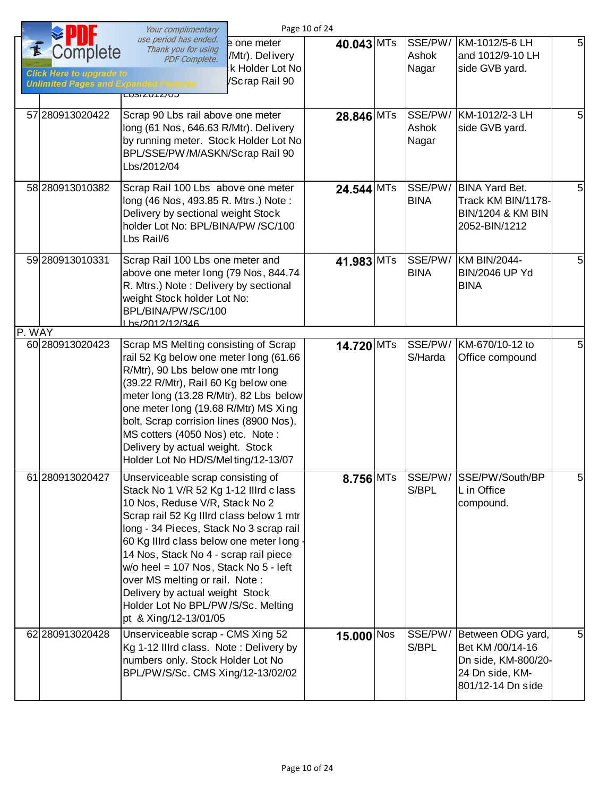|        |                                                                                             | Your complimentary                                                                                                                                                                                                                                                                                                                                                                                                                                                  | Page 10 of 24 |             |                           |                                                                                                      |                |
|--------|---------------------------------------------------------------------------------------------|---------------------------------------------------------------------------------------------------------------------------------------------------------------------------------------------------------------------------------------------------------------------------------------------------------------------------------------------------------------------------------------------------------------------------------------------------------------------|---------------|-------------|---------------------------|------------------------------------------------------------------------------------------------------|----------------|
|        | Complete<br><b>Click Here to upgrade to</b><br><b>Unlimited Pages and Expanded Features</b> | use period has ended.<br>e one meter<br>Thank you for using<br>:/Mtr). Delivery<br>PDF Complete.<br>k Holder Lot No<br>/Scrap Rail 90<br>LUS/ZUTZ/UJ                                                                                                                                                                                                                                                                                                                | 40.043 MTs    |             | SSE/PW/<br>Ashok<br>Nagar | KM-1012/5-6 LH<br>and 1012/9-10 LH<br>side GVB yard.                                                 | 5              |
|        | 57 280913020422                                                                             | Scrap 90 Lbs rail above one meter<br>long (61 Nos, 646.63 R/Mtr). Delivery<br>by running meter. Stock Holder Lot No<br>BPL/SSE/PW/M/ASKN/Scrap Rail 90<br>Lbs/2012/04                                                                                                                                                                                                                                                                                               | 28.846 MTs    |             | SSE/PW/<br>Ashok<br>Nagar | KM-1012/2-3 LH<br>side GVB yard.                                                                     | 5              |
|        | 58 280913010382                                                                             | Scrap Rail 100 Lbs above one meter<br>long (46 Nos, 493.85 R. Mtrs.) Note:<br>Delivery by sectional weight Stock<br>holder Lot No: BPL/BINA/PW /SC/100<br>Lbs Rail/6                                                                                                                                                                                                                                                                                                | 24.544 MTs    |             | SSE/PW/<br><b>BINA</b>    | <b>BINA Yard Bet.</b><br>Track KM BIN/1178-<br><b>BIN/1204 &amp; KM BIN</b><br>2052-BIN/1212         | 5              |
|        | 59 280913010331                                                                             | Scrap Rail 100 Lbs one meter and<br>above one meter long (79 Nos, 844.74<br>R. Mtrs.) Note: Delivery by sectional<br>weight Stock holder Lot No:<br>BPL/BINA/PW/SC/100<br>Lhs/2012/12/346                                                                                                                                                                                                                                                                           | 41.983 MTs    |             | SSE/PW/<br><b>BINA</b>    | KM BIN/2044-<br><b>BIN/2046 UP Yd</b><br><b>BINA</b>                                                 | 5              |
| P. WAY | 60 280913020423                                                                             | Scrap MS Melting consisting of Scrap<br>rail 52 Kg below one meter long (61.66<br>R/Mtr), 90 Lbs below one mtr long<br>(39.22 R/Mtr), Rail 60 Kg below one<br>meter long (13.28 R/Mtr), 82 Lbs below<br>one meter long (19.68 R/Mtr) MS Xing<br>bolt, Scrap corrision lines (8900 Nos),<br>MS cotters (4050 Nos) etc. Note:<br>Delivery by actual weight. Stock<br>Holder Lot No HD/S/Melting/12-13/07                                                              | 14.720 MTs    |             | SSE/PW/<br>S/Harda        | KM-670/10-12 to<br>Office compound                                                                   | 5              |
|        | 61 280913020427                                                                             | Unserviceable scrap consisting of<br>Stack No 1 V/R 52 Kg 1-12 Illrd class<br>10 Nos, Reduse V/R, Stack No 2<br>Scrap rail 52 Kg Illrd class below 1 mtr<br>long - 34 Pieces, Stack No 3 scrap rail<br>60 Kg Illrd class below one meter long<br>14 Nos, Stack No 4 - scrap rail piece<br>w/o heel = 107 Nos, Stack No 5 - left<br>over MS melting or rail. Note:<br>Delivery by actual weight Stock<br>Holder Lot No BPL/PW/S/Sc. Melting<br>pt & Xing/12-13/01/05 |               | $8.756$ MTs | SSE/PW/<br>S/BPL          | SSE/PW/South/BP<br>L in Office<br>compound.                                                          | ิ่ง            |
|        | 62 280913020428                                                                             | Unserviceable scrap - CMS Xing 52<br>Kg 1-12 Illrd class. Note: Delivery by<br>numbers only. Stock Holder Lot No<br>BPL/PW/S/Sc. CMS Xing/12-13/02/02                                                                                                                                                                                                                                                                                                               | $15.000$ Nos  |             | SSE/PW/<br>S/BPL          | Between ODG yard,<br>Bet KM /00/14-16<br>Dn side, KM-800/20-<br>24 Dn side, KM-<br>801/12-14 Dn side | 5 <sub>l</sub> |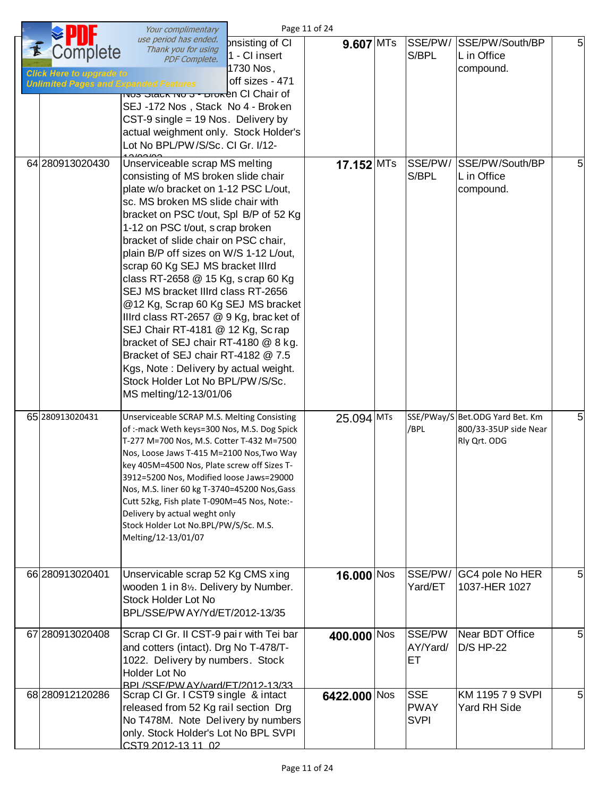|                                                                                             | Your complimentary                                                                                                                                                                                                                                                                                                                                                                                                                                                                                                                                                                                                                                                                                                                            | Page 11 of 24 |                                          |                                                                          |   |
|---------------------------------------------------------------------------------------------|-----------------------------------------------------------------------------------------------------------------------------------------------------------------------------------------------------------------------------------------------------------------------------------------------------------------------------------------------------------------------------------------------------------------------------------------------------------------------------------------------------------------------------------------------------------------------------------------------------------------------------------------------------------------------------------------------------------------------------------------------|---------------|------------------------------------------|--------------------------------------------------------------------------|---|
| Complete<br><b>Click Here to upgrade to</b><br><b>Unlimited Pages and Expanded Features</b> | use period has ended.<br>pnsisting of CI<br>Thank you for using<br>1 - CI insert<br>PDF Complete.<br>1730 Nos,<br>off sizes - 471<br><b>TNUS JIECK IND J - DIUKEN CI Chair of</b><br>SEJ-172 Nos, Stack No 4 - Broken<br>CST-9 single = $19$ Nos. Delivery by<br>actual weighment only. Stock Holder's<br>Lot No BPL/PW/S/Sc. CI Gr. I/12-                                                                                                                                                                                                                                                                                                                                                                                                    | 9.607 MTs     | SSE/PW/<br>S/BPL                         | SSE/PW/South/BP<br>L in Office<br>compound.                              | 5 |
| 64 280913020430                                                                             | Unserviceable scrap MS melting<br>consisting of MS broken slide chair<br>plate w/o bracket on 1-12 PSC L/out,<br>sc. MS broken MS slide chair with<br>bracket on PSC t/out, Spl B/P of 52 Kg<br>1-12 on PSC t/out, s crap broken<br>bracket of slide chair on PSC chair,<br>plain B/P off sizes on W/S 1-12 L/out,<br>scrap 60 Kg SEJ MS bracket IIIrd<br>class RT-2658 @ 15 Kg, s crap 60 Kg<br>SEJ MS bracket IIIrd class RT-2656<br>@12 Kg, Scrap 60 Kg SEJ MS bracket<br>Illrd class RT-2657 @ 9 Kg, bracket of<br>SEJ Chair RT-4181 @ 12 Kg, Sc rap<br>bracket of SEJ chair RT-4180 @ 8 kg.<br>Bracket of SEJ chair RT-4182 @ 7.5<br>Kgs, Note: Delivery by actual weight.<br>Stock Holder Lot No BPL/PW/S/Sc.<br>MS melting/12-13/01/06 | $17.152$ MTs  | SSE/PW/<br>S/BPL                         | SSE/PW/South/BP<br>L in Office<br>compound.                              | 5 |
| 65 280913020431                                                                             | Unserviceable SCRAP M.S. Melting Consisting<br>of :-mack Weth keys=300 Nos, M.S. Dog Spick<br>T-277 M=700 Nos, M.S. Cotter T-432 M=7500<br>Nos, Loose Jaws T-415 M=2100 Nos, Two Way<br>key 405M=4500 Nos, Plate screw off Sizes T-<br>3912=5200 Nos, Modified loose Jaws=29000<br>Nos, M.S. liner 60 kg T-3740=45200 Nos, Gass<br>Cutt 52kg, Fish plate T-090M=45 Nos, Note:-<br>Delivery by actual weght only<br>Stock Holder Lot No.BPL/PW/S/Sc. M.S.<br>Melting/12-13/01/07                                                                                                                                                                                                                                                               | 25.094 MTs    | /BPL                                     | SSE/PWay/S Bet.ODG Yard Bet. Km<br>800/33-35UP side Near<br>Rly Qrt. ODG | 5 |
| 66 280913020401                                                                             | Unservicable scrap 52 Kg CMS xing<br>wooden 1 in 81/2. Delivery by Number.<br>Stock Holder Lot No<br>BPL/SSE/PW AY/Yd/ET/2012-13/35                                                                                                                                                                                                                                                                                                                                                                                                                                                                                                                                                                                                           | 16.000 $N$ os | SSE/PW/<br>Yard/ET                       | GC4 pole No HER<br>1037-HER 1027                                         | 5 |
| 67 280913020408                                                                             | Scrap CI Gr. II CST-9 pair with Tei bar<br>and cotters (intact). Drg No T-478/T-<br>1022. Delivery by numbers. Stock<br>Holder Lot No<br><b>RPI /SSE/PW AY/vard/FT/2012-13/33</b>                                                                                                                                                                                                                                                                                                                                                                                                                                                                                                                                                             | 400.000 Nos   | SSE/PW<br>AY/Yard/<br>ET                 | Near BDT Office<br><b>D/S HP-22</b>                                      | 5 |
| 68 280912120286                                                                             | Scrap CI Gr. I CST9 single & intact<br>released from 52 Kg rail section Drg<br>No T478M. Note Delivery by numbers<br>only. Stock Holder's Lot No BPL SVPI<br>CST9 2012-13 11 02                                                                                                                                                                                                                                                                                                                                                                                                                                                                                                                                                               | 6422.000 Nos  | <b>SSE</b><br><b>PWAY</b><br><b>SVPI</b> | KM 1195 7 9 SVPI<br><b>Yard RH Side</b>                                  | 5 |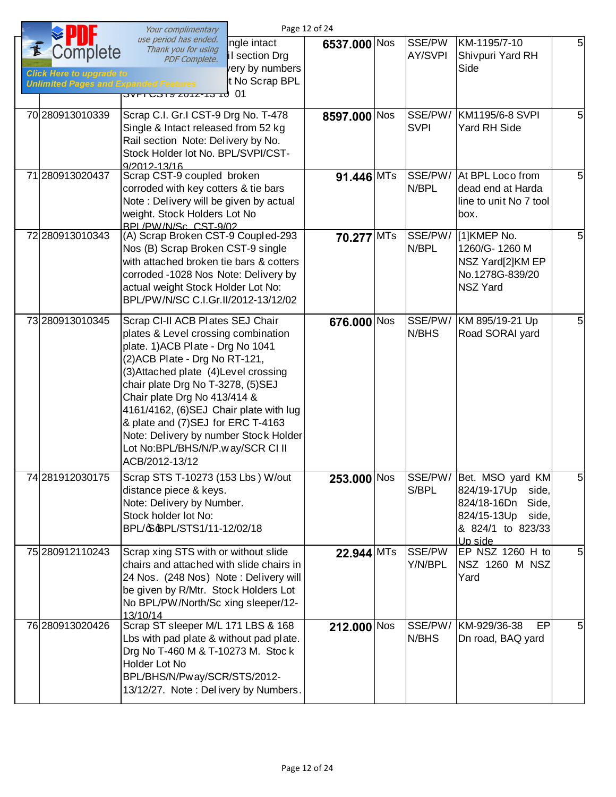|                                                                                                           | Your complimentary                                                                                                                                                                                                                                                                                                                                                                                                                          |                                                                     | Page 12 of 24 |                          |                                                                                                                                  |    |
|-----------------------------------------------------------------------------------------------------------|---------------------------------------------------------------------------------------------------------------------------------------------------------------------------------------------------------------------------------------------------------------------------------------------------------------------------------------------------------------------------------------------------------------------------------------------|---------------------------------------------------------------------|---------------|--------------------------|----------------------------------------------------------------------------------------------------------------------------------|----|
| <i><b>Complete</b></i><br><b>Click Here to upgrade to</b><br><b>Unlimited Pages and Expanded Features</b> | use period has ended.<br>Thank you for using<br>PDF Complete.<br>01 לו כו-גוטג צוכט וחיס                                                                                                                                                                                                                                                                                                                                                    | ingle intact<br>il section Drg<br>very by numbers<br>t No Scrap BPL | 6537.000 Nos  | SSE/PW<br><b>AY/SVPI</b> | KM-1195/7-10<br>Shivpuri Yard RH<br>Side                                                                                         | 5  |
| 70 280913010339                                                                                           | Scrap C.I. Gr.I CST-9 Drg No. T-478<br>Single & Intact released from 52 kg<br>Rail section Note: Delivery by No.<br>Stock Holder lot No. BPL/SVPI/CST-<br>9/2012-13/16                                                                                                                                                                                                                                                                      |                                                                     | 8597.000 Nos  | SSE/PW/<br><b>SVPI</b>   | KM1195/6-8 SVPI<br><b>Yard RH Side</b>                                                                                           | 5  |
| 71 280913020437                                                                                           | Scrap CST-9 coupled broken<br>corroded with key cotters & tie bars<br>Note: Delivery will be given by actual<br>weight. Stock Holders Lot No<br>BPL/PW/N/Sc CST-9/02                                                                                                                                                                                                                                                                        |                                                                     | 91.446 MTs    | SSE/PW/<br>N/BPL         | At BPL Loco from<br>dead end at Harda<br>line to unit No 7 tool<br>box.                                                          | 5  |
| 72 280913010343                                                                                           | (A) Scrap Broken CST-9 Coupled-293<br>Nos (B) Scrap Broken CST-9 single<br>with attached broken tie bars & cotters<br>corroded -1028 Nos Note: Delivery by<br>actual weight Stock Holder Lot No:<br>BPL/PW/N/SC C.I.Gr.II/2012-13/12/02                                                                                                                                                                                                     |                                                                     | 70.277 MTs    | SSE/PW/<br>N/BPL         | [1]KMEP No.<br>1260/G-1260 M<br>NSZ Yard[2]KM EP<br>No.1278G-839/20<br><b>NSZ Yard</b>                                           | 5  |
| 73 280913010345                                                                                           | Scrap CI-II ACB Plates SEJ Chair<br>plates & Level crossing combination<br>plate. 1) ACB Plate - Drg No 1041<br>(2) ACB Plate - Drg No RT-121,<br>(3) Attached plate (4) Level crossing<br>chair plate Drg No T-3278, (5)SEJ<br>Chair plate Drg No 413/414 &<br>4161/4162, (6)SEJ Chair plate with lug<br>& plate and (7) SEJ for ERC T-4163<br>Note: Delivery by number Stock Holder<br>Lot No:BPL/BHS/N/P.way/SCR CI II<br>ACB/2012-13/12 |                                                                     | 676.000 Nos   | SSE/PW/<br>N/BHS         | KM 895/19-21 Up<br>Road SORAI yard                                                                                               | 5  |
| 74 281912030175                                                                                           | Scrap STS T-10273 (153 Lbs) W/out<br>distance piece & keys.<br>Note: Delivery by Number.<br>Stock holder lot No:<br>BPL/\$@PL/STS1/11-12/02/18                                                                                                                                                                                                                                                                                              |                                                                     | $253.000$ Nos | S/BPL                    | SSE/PW/ Bet. MSO yard KM<br>824/19-17Up<br>side,<br>824/18-16Dn<br>Side,<br>824/15-13Up<br>side,<br>& 824/1 to 823/33<br>Up side | C. |
| 75 280912110243                                                                                           | Scrap xing STS with or without slide<br>chairs and attached with slide chairs in<br>24 Nos. (248 Nos) Note: Delivery will<br>be given by R/Mtr. Stock Holders Lot<br>No BPL/PW/North/Sc xing sleeper/12-<br>13/10/14                                                                                                                                                                                                                        |                                                                     | 22.944 MTs    | SSE/PW<br>Y/N/BPL        | EP NSZ 1260 H to<br>NSZ 1260 M NSZ<br>Yard                                                                                       | 5  |
| 76 280913020426                                                                                           | Scrap ST sleeper M/L 171 LBS & 168<br>Lbs with pad plate & without pad plate.<br>Drg No T-460 M & T-10273 M. Stock<br>Holder Lot No<br>BPL/BHS/N/Pway/SCR/STS/2012-<br>13/12/27. Note: Delivery by Numbers.                                                                                                                                                                                                                                 |                                                                     | 212.000 Nos   | SSE/PW/<br>N/BHS         | KM-929/36-38<br>EP<br>Dn road, BAQ yard                                                                                          | 5  |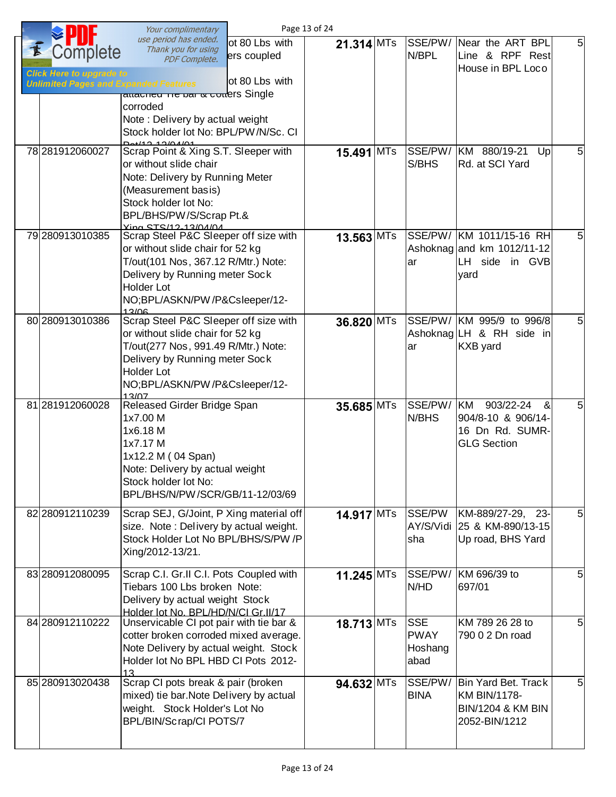|                                                     | Your complimentary                                                                                                                                                                                                |                               | Page 13 of 24 |                                              |                                                                                             |                |
|-----------------------------------------------------|-------------------------------------------------------------------------------------------------------------------------------------------------------------------------------------------------------------------|-------------------------------|---------------|----------------------------------------------|---------------------------------------------------------------------------------------------|----------------|
| <i>C</i> omplete<br><b>Click Here to upgrade to</b> | use period has ended.<br>Thank you for using<br><b>PDF Complete.</b>                                                                                                                                              | ot 80 Lbs with<br>ers coupled | 21.314 MTs    | SSE/PW/<br>N/BPL                             | Near the ART BPL<br>Line & RPF Rest<br>House in BPL Loco                                    | 5 <sup>1</sup> |
| <b>Unlimited Pages and Expanded Features</b>        | allaurieu Tre par & collers Single<br>corroded<br>Note: Delivery by actual weight<br>Stock holder lot No: BPL/PW/N/Sc. CI<br>$D_{0}$ +/12 12/04/01                                                                | 'ot 80 Lbs with               |               |                                              |                                                                                             |                |
| 78 281912060027                                     | Scrap Point & Xing S.T. Sleeper with<br>or without slide chair<br>Note: Delivery by Running Meter<br>(Measurement basis)<br>Stock holder lot No:<br>BPL/BHS/PW/S/Scrap Pt.&<br><b>Ying STS/12-13/04/04</b>        |                               | 15.491 MTs    | SSE/PW/<br>S/BHS                             | KM 880/19-21<br>Up<br>Rd. at SCI Yard                                                       | 5              |
| 79 280913010385                                     | Scrap Steel P&C Sleeper off size with<br>or without slide chair for 52 kg<br>T/out(101 Nos, 367.12 R/Mtr.) Note:<br>Delivery by Running meter Sock<br><b>Holder Lot</b><br>NO;BPL/ASKN/PW/P&Csleeper/12-<br>13/06 |                               | 13.563 MTs    | ar                                           | SSE/PW/ KM 1011/15-16 RH<br>Ashoknag and km 1012/11-12<br>LH side in GVB<br>yard            | 5              |
| 80 280913010386                                     | Scrap Steel P&C Sleeper off size with<br>or without slide chair for 52 kg<br>T/out(277 Nos, 991.49 R/Mtr.) Note:<br>Delivery by Running meter Sock<br><b>Holder Lot</b><br>NO;BPL/ASKN/PW/P&Csleeper/12-<br>13/07 |                               | 36.820 MTs    | ar                                           | SSE/PW/ KM 995/9 to 996/8<br>Ashoknag LH & RH side in<br>KXB yard                           | 5              |
| 81 281912060028                                     | Released Girder Bridge Span<br>1x7.00 M<br>1x6.18 M<br>1x7.17 M<br>1x12.2 M (04 Span)<br>Note: Delivery by actual weight<br>Stock holder lot No:<br>BPL/BHS/N/PW/SCR/GB/11-12/03/69                               |                               | 35.685 MTs    | SSE/PW/<br>N/BHS                             | 903/22-24<br>KM<br>&<br>904/8-10 & 906/14-<br>16 Dn Rd. SUMR-<br><b>GLG Section</b>         | 5              |
| 82 280912110239                                     | Scrap SEJ, G/Joint, P Xing material off<br>size. Note: Delivery by actual weight.<br>Stock Holder Lot No BPL/BHS/S/PW /P<br>Xing/2012-13/21.                                                                      |                               | 14.917 MTs    | SSE/PW<br>AY/S/Vidi<br>sha                   | KM-889/27-29, 23-<br>25 & KM-890/13-15<br>Up road, BHS Yard                                 | 5 <sup>1</sup> |
| 83 280912080095                                     | Scrap C.I. Gr.II C.I. Pots Coupled with<br>Tiebars 100 Lbs broken Note:<br>Delivery by actual weight Stock<br>Holder lot No. BPL/HD/N/CLGr.II/17                                                                  |                               | 11.245 MTs    | SSE/PW/<br>N/HD                              | KM 696/39 to<br>697/01                                                                      | 5 <sub>l</sub> |
| 84 280 912110 222                                   | Unservicable CI pot pair with tie bar &<br>cotter broken corroded mixed average.<br>Note Delivery by actual weight. Stock<br>Holder lot No BPL HBD CI Pots 2012-<br>13                                            |                               | $18.713$ MTs  | <b>SSE</b><br><b>PWAY</b><br>Hoshang<br>abad | KM 789 26 28 to<br>790 0 2 Dn road                                                          | 5 <sub>l</sub> |
| 85 280913020438                                     | Scrap CI pots break & pair (broken<br>mixed) tie bar. Note Delivery by actual<br>weight. Stock Holder's Lot No<br>BPL/BIN/Scrap/CI POTS/7                                                                         |                               | 94.632 MTs    | SSE/PW/<br><b>BINA</b>                       | Bin Yard Bet. Track<br><b>KM BIN/1178-</b><br><b>BIN/1204 &amp; KM BIN</b><br>2052-BIN/1212 | 5 <sub>l</sub> |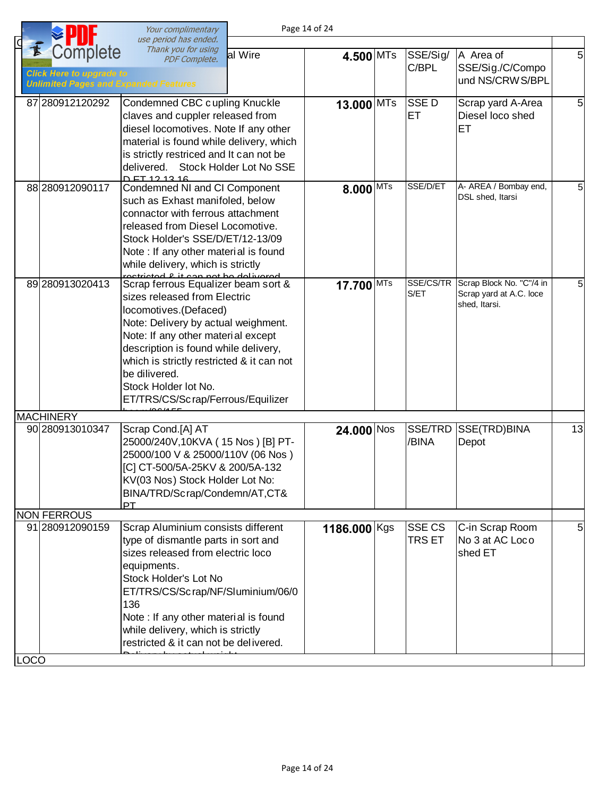|                                                                                                  | Your complimentary                                                                                                                                                                                                                                                                                                                                                                   |                         | Page 14 of 24 |            |                   |                                                                      |                |
|--------------------------------------------------------------------------------------------------|--------------------------------------------------------------------------------------------------------------------------------------------------------------------------------------------------------------------------------------------------------------------------------------------------------------------------------------------------------------------------------------|-------------------------|---------------|------------|-------------------|----------------------------------------------------------------------|----------------|
| Complete<br>Ė<br><b>Click Here to upgrade to</b><br><b>Unlimited Pages and Expanded Features</b> | use period has ended.<br>Thank you for using<br><b>PDF Complete.</b>                                                                                                                                                                                                                                                                                                                 | al Wire                 | 4.500 MTs     |            | SSE/Sig/<br>C/BPL | A Area of<br>SSE/Sig./C/Compo<br>und NS/CRW S/BPL                    | 5              |
| 87 280912120292                                                                                  | Condemned CBC cupling Knuckle<br>claves and cuppler released from<br>diesel locomotives. Note If any other<br>material is found while delivery, which<br>is strictly restriced and It can not be<br>delivered.<br>D ET 12 13 16                                                                                                                                                      | Stock Holder Lot No SSE | 13.000 MTs    |            | <b>SSED</b><br>ET | Scrap yard A-Area<br>Diesel loco shed<br>ET                          | 5              |
| 88 280912090117                                                                                  | Condemned NI and CI Component<br>such as Exhast manifoled, below<br>connactor with ferrous attachment<br>released from Diesel Locomotive.<br>Stock Holder's SSE/D/ET/12-13/09<br>Note: If any other material is found<br>while delivery, which is strictly                                                                                                                           |                         | $8.000$ MTs   |            | SSE/D/ET          | A- AREA / Bombay end,<br>DSL shed, Itarsi                            | 5 <sup>1</sup> |
| 89 280 9130 20413                                                                                | rectricted & it can not be delivered<br>Scrap ferrous Equalizer beam sort &<br>sizes released from Electric<br>locomotives.(Defaced)<br>Note: Delivery by actual weighment.<br>Note: If any other material except<br>description is found while delivery,<br>which is strictly restricted & it can not<br>be dilivered.<br>Stock Holder lot No.<br>ET/TRS/CS/Scrap/Ferrous/Equilizer |                         | 17.700        | <b>MTs</b> | SSE/CS/TR<br>S/ET | Scrap Block No. "C"/4 in<br>Scrap yard at A.C. loce<br>shed, Itarsi. | 5              |
| <b>MACHINERY</b><br>90 280 913 010 347                                                           | Scrap Cond.[A] AT<br>25000/240V,10KVA (15 Nos) [B] PT-<br>25000/100 V & 25000/110V (06 Nos)<br>[C] CT-500/5A-25KV & 200/5A-132<br>KV(03 Nos) Stock Holder Lot No:<br>BINA/TRD/Scrap/Condemn/AT,CT&<br>PT                                                                                                                                                                             |                         | $24.000$ Nos  |            | SSE/TRD<br>/BINA  | SSE(TRD)BINA<br>Depot                                                | 13             |
| <b>NON FERROUS</b><br>91 280912090159                                                            | Scrap Aluminium consists different                                                                                                                                                                                                                                                                                                                                                   |                         | 1186.000 Kgs  |            | <b>SSE CS</b>     | C-in Scrap Room                                                      | 5              |
| <b>LOCO</b>                                                                                      | type of dismantle parts in sort and<br>sizes released from electric loco<br>equipments.<br>Stock Holder's Lot No<br>ET/TRS/CS/Scrap/NF/Sluminium/06/0<br>136<br>Note : If any other material is found<br>while delivery, which is strictly<br>restricted & it can not be delivered.                                                                                                  |                         |               |            | <b>TRS ET</b>     | No 3 at AC Loco<br>shed ET                                           |                |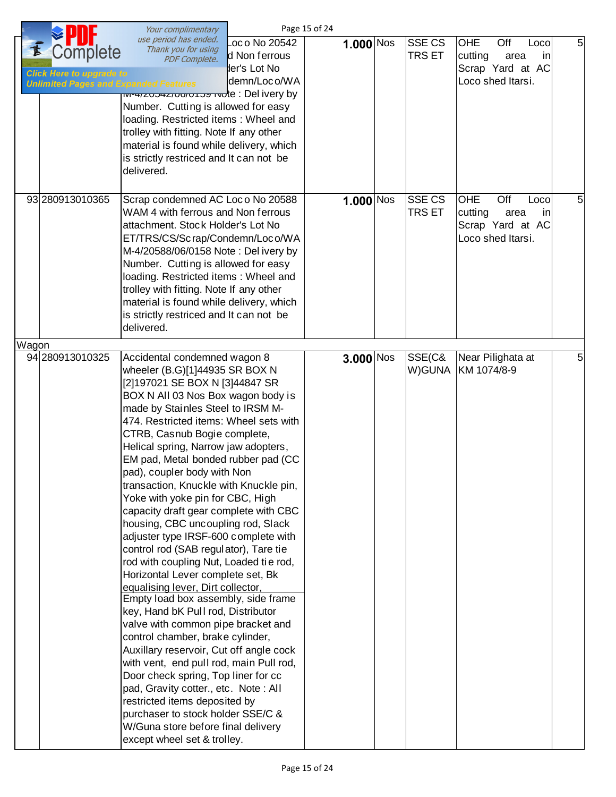|       |                                                                                             | Your complimentary                                                                                                                                                                                                                                                                                                                                                                                                                                                                                                                                                                                                                                                                                                                                                                                                                                                                                                                                                                                                                                                                                                                                                                                           |                                                                 | Page 15 of 24  |                                |                                                                                      |                |
|-------|---------------------------------------------------------------------------------------------|--------------------------------------------------------------------------------------------------------------------------------------------------------------------------------------------------------------------------------------------------------------------------------------------------------------------------------------------------------------------------------------------------------------------------------------------------------------------------------------------------------------------------------------------------------------------------------------------------------------------------------------------------------------------------------------------------------------------------------------------------------------------------------------------------------------------------------------------------------------------------------------------------------------------------------------------------------------------------------------------------------------------------------------------------------------------------------------------------------------------------------------------------------------------------------------------------------------|-----------------------------------------------------------------|----------------|--------------------------------|--------------------------------------------------------------------------------------|----------------|
| K     | Complete<br><b>Click Here to upgrade to</b><br><b>Unlimited Pages and Expanded Features</b> | use period has ended.<br>Thank you for using<br><b>PDF Complete.</b><br><del>וויידואן (D</del> el ivery by איז <del>פט ווערשט (</del> Prote : Del ivery by<br>Number. Cutting is allowed for easy<br>loading. Restricted items: Wheel and<br>trolley with fitting. Note If any other<br>material is found while delivery, which<br>is strictly restriced and It can not be<br>delivered.                                                                                                                                                                                                                                                                                                                                                                                                                                                                                                                                                                                                                                                                                                                                                                                                                     | Loc o No 20542<br>d Non ferrous<br>der's Lot No<br>demn/Loco/WA | $1.000$ $N$ os | <b>SSE CS</b><br><b>TRS ET</b> | OHE<br>Off<br>Loco<br>cutting<br>area<br>in<br>Scrap Yard at AC<br>Loco shed Itarsi. | 5 <sub>l</sub> |
|       | 93 280 913 010 365                                                                          | Scrap condemned AC Loc o No 20588<br>WAM 4 with ferrous and Non ferrous<br>attachment. Stock Holder's Lot No<br>ET/TRS/CS/Scrap/Condemn/Loco/WA<br>M-4/20588/06/0158 Note: Delivery by<br>Number. Cutting is allowed for easy<br>loading. Restricted items: Wheel and<br>trolley with fitting. Note If any other<br>material is found while delivery, which<br>is strictly restriced and It can not be<br>delivered.                                                                                                                                                                                                                                                                                                                                                                                                                                                                                                                                                                                                                                                                                                                                                                                         |                                                                 | $1.000$ Nos    | <b>SSE CS</b><br>TRS ET        | OHE<br>Off<br>Loco<br>cutting<br>area<br>in<br>Scrap Yard at AC<br>Loco shed Itarsi. | 5              |
| Wagon | 94 280913010325                                                                             | Accidental condemned wagon 8<br>wheeler (B.G)[1]44935 SR BOX N<br>[2]197021 SE BOX N [3]44847 SR<br>BOX N All 03 Nos Box wagon body is<br>made by Stainles Steel to IRSM M-<br>474. Restricted items: Wheel sets with<br>CTRB, Casnub Bogie complete,<br>Helical spring, Narrow jaw adopters,<br>EM pad, Metal bonded rubber pad (CC<br>pad), coupler body with Non<br>transaction, Knuckle with Knuckle pin,<br>Yoke with yoke pin for CBC, High<br>capacity draft gear complete with CBC<br>housing, CBC uncoupling rod, Slack<br>adjuster type IRSF-600 complete with<br>control rod (SAB regulator), Tare tie<br>rod with coupling Nut, Loaded tie rod,<br>Horizontal Lever complete set, Bk<br>equalising lever, Dirt collector,<br>Empty load box assembly, side frame<br>key, Hand bK Pull rod, Distributor<br>valve with common pipe bracket and<br>control chamber, brake cylinder,<br>Auxillary reservoir, Cut off angle cock<br>with vent, end pull rod, main Pull rod,<br>Door check spring, Top liner for cc<br>pad, Gravity cotter., etc. Note: All<br>restricted items deposited by<br>purchaser to stock holder SSE/C &<br>W/Guna store before final delivery<br>except wheel set & trolley. |                                                                 | 3.000 Nos      | SSE(C&                         | Near Pilighata at<br>W)GUNA KM 1074/8-9                                              | 5              |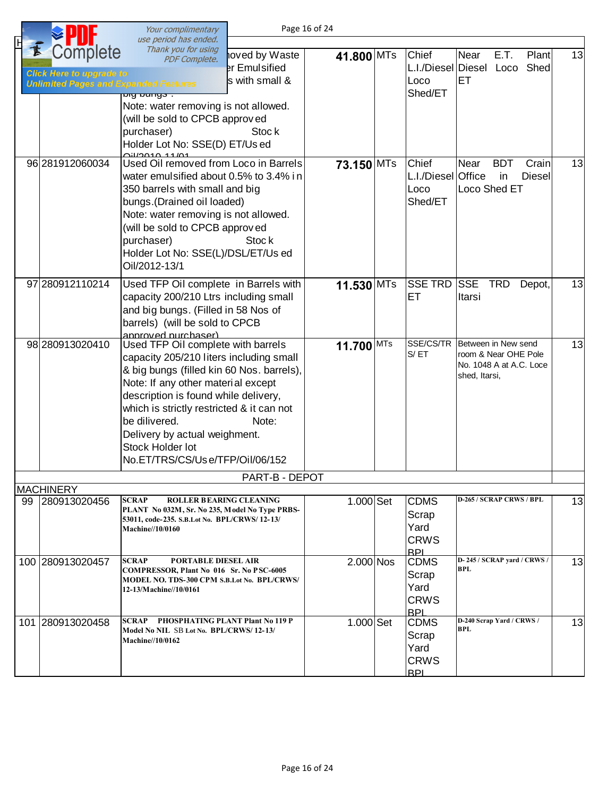|    |                                                                                             | Your complimentary<br>use period has ended.                                                                                                                                                                                                                                                                                                                    |                                                             | Page 16 of 24 |                                                           |                                                                                         |    |
|----|---------------------------------------------------------------------------------------------|----------------------------------------------------------------------------------------------------------------------------------------------------------------------------------------------------------------------------------------------------------------------------------------------------------------------------------------------------------------|-------------------------------------------------------------|---------------|-----------------------------------------------------------|-----------------------------------------------------------------------------------------|----|
|    | Complete<br><b>Click Here to upgrade to</b><br><b>Unlimited Pages and Expanded Features</b> | Thank you for using<br><b>PDF Complete.</b><br><del>uly buriyo .</del><br>Note: water removing is not allowed.<br>(will be sold to CPCB approved<br>purchaser)<br>Holder Lot No: SSE(D) ET/Us ed<br><u>AILLOALA 11/01</u>                                                                                                                                      | hoved by Waste<br>er Emulsified<br>s with small &<br>Stoc k | 41.800 MTs    | Chief<br>Loco<br>Shed/ET                                  | Near<br>E.T.<br>Plant<br>L.I./Diesel Diesel Loco Shed<br>ET                             | 13 |
|    | 96 281912060034                                                                             | Used Oil removed from Loco in Barrels<br>water emulsified about 0.5% to 3.4% in<br>350 barrels with small and big<br>bungs. (Drained oil loaded)<br>Note: water removing is not allowed.<br>(will be sold to CPCB approved<br>purchaser)<br>Holder Lot No: SSE(L)/DSL/ET/Us ed<br>Oil/2012-13/1                                                                | Stock                                                       | 73.150 MTs    | Chief<br>L.I./Diesel Office<br>Loco<br>Shed/ET            | Crain<br>Near<br><b>BDT</b><br><b>Diesel</b><br><i>in</i><br>Loco Shed ET               | 13 |
|    | 97 2809 12110 214                                                                           | Used TFP Oil complete in Barrels with<br>capacity 200/210 Ltrs including small<br>and big bungs. (Filled in 58 Nos of<br>barrels) (will be sold to CPCB<br>annroved nurchaser)                                                                                                                                                                                 |                                                             | 11.530 MTs    | <b>SSE TRD</b><br>ET                                      | <b>SSE</b><br><b>TRD</b><br>Depot,<br>Itarsi                                            | 13 |
|    | 98 280913020410                                                                             | Used TFP Oil complete with barrels<br>capacity 205/210 liters including small<br>& big bungs (filled kin 60 Nos. barrels),<br>Note: If any other material except<br>description is found while delivery,<br>which is strictly restricted & it can not<br>be dilivered.<br>Delivery by actual weighment.<br>Stock Holder lot<br>No.ET/TRS/CS/Use/TFP/Oil/06/152 | Note:                                                       | 11.700 MTs    | SSE/CS/TR<br>S/ET                                         | Between in New send<br>room & Near OHE Pole<br>No. 1048 A at A.C. Loce<br>shed, Itarsi, | 13 |
|    |                                                                                             |                                                                                                                                                                                                                                                                                                                                                                | PART-B - DEPOT                                              |               |                                                           |                                                                                         |    |
| 99 | <b>MACHINERY</b><br>280913020456                                                            | <b>SCRAP</b><br><b>ROLLER BEARING CLEANING</b><br>PLANT No 032M, Sr. No 235, Model No Type PRBS-<br>53011, code-235. S.B.Lot No. BPL/CRWS/12-13/<br><b>Machine//10/0160</b>                                                                                                                                                                                    |                                                             | 1.000 Set     | <b>CDMS</b><br>Scrap<br>Yard<br><b>CRWS</b><br><b>RPL</b> | D-265 / SCRAP CRWS / BPL                                                                | 13 |
|    | 100 280913020457                                                                            | SCRAP<br>PORTABLE DIESEL AIR<br>COMPRESSOR, Plant No 016 Sr. No PSC-6005<br>MODEL NO. TDS-300 CPM S.B.Lot No. BPL/CRWS/<br>12-13/Machine//10/0161                                                                                                                                                                                                              |                                                             | $2.000$ Nos   | <b>CDMS</b><br>Scrap<br>Yard<br><b>CRWS</b><br><b>RPI</b> | D-245 / SCRAP yard / CRWS /<br><b>BPL</b>                                               | 13 |
|    | 101 280913020458                                                                            | SCRAP<br><b>PHOSPHATING PLANT Plant No 119 P</b><br>Model No NIL SB Lot No. BPL/CRWS/12-13/<br><b>Machine//10/0162</b>                                                                                                                                                                                                                                         |                                                             | $1.000$ Set   | <b>CDMS</b><br>Scrap<br>Yard<br><b>CRWS</b><br><b>BPI</b> | D-240 Scrap Yard / CRWS /<br><b>BPL</b>                                                 | 13 |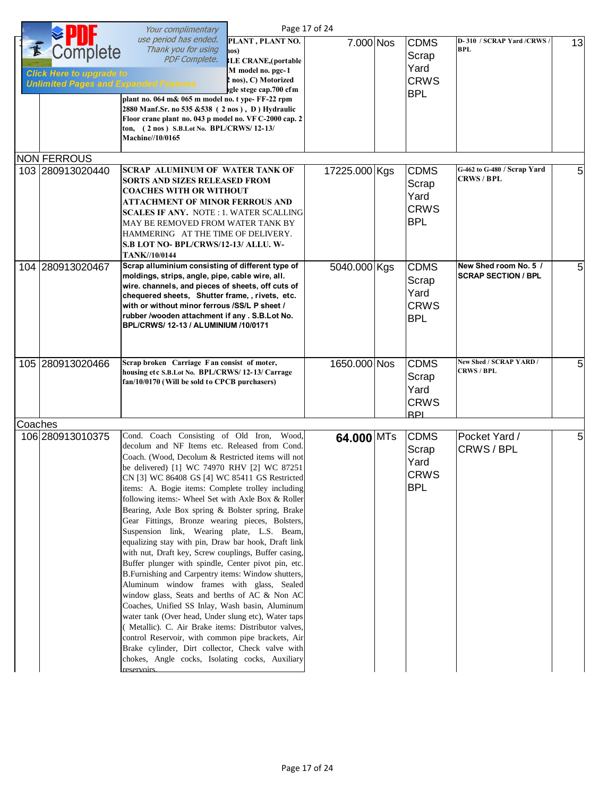|         |                                                                                             | Your complimentary                                                                                                                                                                                                                                                                                                                                                                                                                                                                                                                                                                                                                                                                                                                                                                                                                                                                                                                                                                                                                                                                                                                                                                |                                                                                                                                    | Page 17 of 24 |                                                           |                                                     |    |
|---------|---------------------------------------------------------------------------------------------|-----------------------------------------------------------------------------------------------------------------------------------------------------------------------------------------------------------------------------------------------------------------------------------------------------------------------------------------------------------------------------------------------------------------------------------------------------------------------------------------------------------------------------------------------------------------------------------------------------------------------------------------------------------------------------------------------------------------------------------------------------------------------------------------------------------------------------------------------------------------------------------------------------------------------------------------------------------------------------------------------------------------------------------------------------------------------------------------------------------------------------------------------------------------------------------|------------------------------------------------------------------------------------------------------------------------------------|---------------|-----------------------------------------------------------|-----------------------------------------------------|----|
| F       | Complete<br><b>Click Here to upgrade to</b><br><b>Unlimited Pages and Expanded Features</b> | use period has ended.<br>Thank you for using<br><b>PDF Complete.</b><br>plant no. 064 m& 065 m model no. t ype- FF-22 rpm<br>2880 Manf.Sr. no 535 & 538 (2 nos), D) Hydraulic<br>Floor crane plant no. 043 p model no. VF C-2000 cap. 2<br>ton, (2 nos) S.B.Lot No. BPL/CRWS/12-13/<br>Machine//10/0165                                                                                                                                                                                                                                                                                                                                                                                                                                                                                                                                                                                                                                                                                                                                                                                                                                                                           | PLANT, PLANT NO.<br>$\log$ )<br><b>BLE CRANE, (portable</b><br>M model no. pgc-1<br>2 nos), C) Motorized<br>igle stege cap.700 cfm | 7.000 Nos     | <b>CDMS</b><br>Scrap<br>Yard<br><b>CRWS</b><br><b>BPL</b> | D-310 / SCRAP Yard /CRWS /<br><b>BPL</b>            | 13 |
|         | <b>NON FERROUS</b>                                                                          |                                                                                                                                                                                                                                                                                                                                                                                                                                                                                                                                                                                                                                                                                                                                                                                                                                                                                                                                                                                                                                                                                                                                                                                   |                                                                                                                                    |               |                                                           |                                                     |    |
|         | 103 280913020440                                                                            | <b>SCRAP ALUMINUM OF WATER TANK OF</b><br><b>SORTS AND SIZES RELEASED FROM</b><br><b>COACHES WITH OR WITHOUT</b><br><b>ATTACHMENT OF MINOR FERROUS AND</b><br><b>SCALES IF ANY. NOTE: 1. WATER SCALLING</b><br>MAY BE REMOVED FROM WATER TANK BY<br>HAMMERING AT THE TIME OF DELIVERY.<br>S.B LOT NO- BPL/CRWS/12-13/ ALLU. W-<br><b>TANK//10/0144</b>                                                                                                                                                                                                                                                                                                                                                                                                                                                                                                                                                                                                                                                                                                                                                                                                                            |                                                                                                                                    | 17225.000 Kgs | <b>CDMS</b><br>Scrap<br>Yard<br><b>CRWS</b><br><b>BPL</b> | G-462 to G-480 / Scrap Yard<br><b>CRWS/BPL</b>      | 5  |
|         | 104 280913020467                                                                            | Scrap alluminium consisting of different type of<br>moldings, strips, angle, pipe, cable wire, all.<br>wire. channels, and pieces of sheets, off cuts of<br>chequered sheets, Shutter frame,, rivets, etc.<br>with or without minor ferrous /SS/L P sheet /<br>rubber /wooden attachment if any . S.B.Lot No.<br>BPL/CRWS/ 12-13 / ALUMINIUM /10/0171                                                                                                                                                                                                                                                                                                                                                                                                                                                                                                                                                                                                                                                                                                                                                                                                                             |                                                                                                                                    | 5040.000 Kgs  | <b>CDMS</b><br>Scrap<br>Yard<br><b>CRWS</b><br><b>BPL</b> | New Shed room No. 5 /<br><b>SCRAP SECTION / BPL</b> | 5  |
|         | 105 280913020466                                                                            | Scrap broken Carriage F an consist of moter,<br>housing etc S.B.Lot No. BPL/CRWS/12-13/ Carrage<br>fan/10/0170 (Will be sold to CPCB purchasers)                                                                                                                                                                                                                                                                                                                                                                                                                                                                                                                                                                                                                                                                                                                                                                                                                                                                                                                                                                                                                                  |                                                                                                                                    | 1650.000 Nos  | <b>CDMS</b><br>Scrap<br>Yard<br><b>CRWS</b><br><b>BPI</b> | New Shed / SCRAP YARD /<br><b>CRWS / BPL</b>        | 5  |
|         |                                                                                             |                                                                                                                                                                                                                                                                                                                                                                                                                                                                                                                                                                                                                                                                                                                                                                                                                                                                                                                                                                                                                                                                                                                                                                                   |                                                                                                                                    |               |                                                           |                                                     |    |
| Coaches | 106 280913010375                                                                            | Cond. Coach Consisting of Old Iron,<br>decolum and NF Items etc. Released from Cond.<br>Coach. (Wood, Decolum & Restricted items will not<br>be delivered) [1] WC 74970 RHV [2] WC 87251<br>CN [3] WC 86408 GS [4] WC 85411 GS Restricted<br>items: A. Bogie items: Complete trolley including<br>following items:- Wheel Set with Axle Box & Roller<br>Bearing, Axle Box spring & Bolster spring, Brake<br>Gear Fittings, Bronze wearing pieces, Bolsters,<br>Suspension link, Wearing plate, L.S. Beam,<br>equalizing stay with pin, Draw bar hook, Draft link<br>with nut, Draft key, Screw couplings, Buffer casing,<br>Buffer plunger with spindle, Center pivot pin, etc.<br>B. Furnishing and Carpentry items: Window shutters,<br>Aluminum window frames with glass, Sealed<br>window glass, Seats and berths of AC & Non AC<br>Coaches, Unified SS Inlay, Wash basin, Aluminum<br>water tank (Over head, Under slung etc), Water taps<br>( Metallic). C. Air Brake items: Distributor valves,<br>control Reservoir, with common pipe brackets, Air<br>Brake cylinder, Dirt collector, Check valve with<br>chokes, Angle cocks, Isolating cocks, Auxiliary<br>reservoirs. | Wood,                                                                                                                              | 64.000 MTs    | <b>CDMS</b><br>Scrap<br>Yard<br><b>CRWS</b><br><b>BPL</b> | Pocket Yard /<br>CRWS / BPL                         | 5  |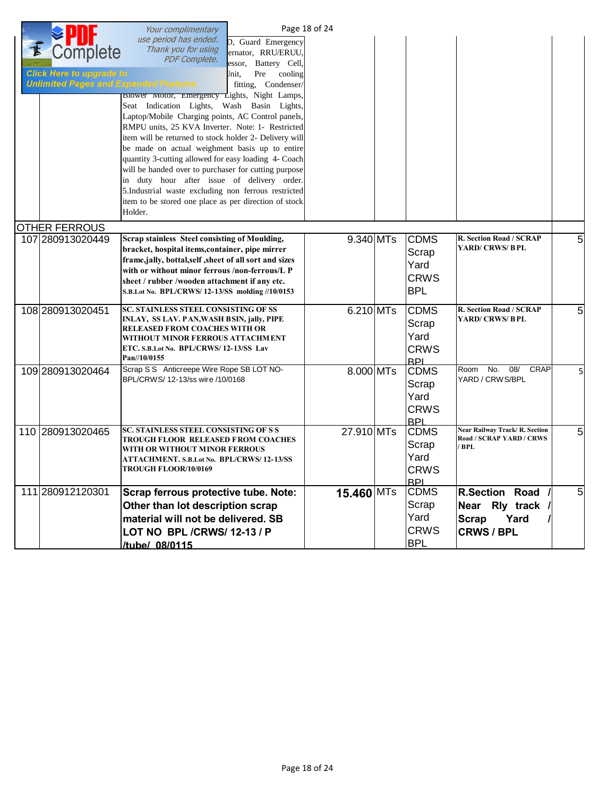|                                              | Your complimentary                                                                                         |                         | Page 18 of 24 |                           |                                   |                |
|----------------------------------------------|------------------------------------------------------------------------------------------------------------|-------------------------|---------------|---------------------------|-----------------------------------|----------------|
|                                              | use period has ended.                                                                                      | D, Guard Emergency      |               |                           |                                   |                |
| Complete                                     | Thank you for using<br><b>PDF Complete.</b>                                                                | ernator, RRU/ERUU,      |               |                           |                                   |                |
|                                              |                                                                                                            | essor, Battery Cell,    |               |                           |                                   |                |
| <b>Click Here to upgrade to</b>              |                                                                                                            | Pre<br>cooling<br>Jnit, |               |                           |                                   |                |
| <b>Unlimited Pages and Expanded Features</b> |                                                                                                            | fitting, Condenser/     |               |                           |                                   |                |
|                                              | <b>BIOWET MOTOT, Emergency Lights, Night Lamps,</b>                                                        |                         |               |                           |                                   |                |
|                                              | Seat Indication Lights, Wash Basin Lights,                                                                 |                         |               |                           |                                   |                |
|                                              | Laptop/Mobile Charging points, AC Control panels,                                                          |                         |               |                           |                                   |                |
|                                              | RMPU units, 25 KVA Inverter. Note: 1- Restricted<br>item will be returned to stock holder 2- Delivery will |                         |               |                           |                                   |                |
|                                              | be made on actual weighment basis up to entire                                                             |                         |               |                           |                                   |                |
|                                              | quantity 3-cutting allowed for easy loading 4- Coach                                                       |                         |               |                           |                                   |                |
|                                              | will be handed over to purchaser for cutting purpose                                                       |                         |               |                           |                                   |                |
|                                              | in duty hour after issue of delivery order.                                                                |                         |               |                           |                                   |                |
|                                              | 5.Industrial waste excluding non ferrous restricted                                                        |                         |               |                           |                                   |                |
|                                              | item to be stored one place as per direction of stock                                                      |                         |               |                           |                                   |                |
|                                              | Holder.                                                                                                    |                         |               |                           |                                   |                |
| <b>OTHER FERROUS</b>                         |                                                                                                            |                         |               |                           |                                   |                |
| 107 280913020449                             | Scrap stainless Steel consisting of Moulding,                                                              |                         | $9.340$ MTs   | <b>CDMS</b>               | R. Section Road / SCRAP           | 5              |
|                                              | bracket, hospital items, container, pipe mirrer                                                            |                         |               | Scrap                     | <b>YARD/ CRWS/ BPL</b>            |                |
|                                              | frame, jally, bottal, self , sheet of all sort and sizes                                                   |                         |               | Yard                      |                                   |                |
|                                              | with or without minor ferrous /non-ferrous/L P                                                             |                         |               | <b>CRWS</b>               |                                   |                |
|                                              | sheet / rubber /wooden attachment if any etc.                                                              |                         |               |                           |                                   |                |
|                                              | S.B.Lot No. BPL/CRWS/12-13/SS molding //10/0153                                                            |                         |               | <b>BPL</b>                |                                   |                |
| 108 280913020451                             | <b>SC. STAINLESS STEEL CONSISTING OF SS</b>                                                                |                         | 6.210 MTs     | <b>CDMS</b>               | R. Section Road / SCRAP           | 5              |
|                                              | INLAY, SS LAV. PAN, WASH BSIN, jally, PIPE                                                                 |                         |               | Scrap                     | YARD/ CRWS/ BPL                   |                |
|                                              | <b>RELEASED FROM COACHES WITH OR</b><br>WITHOUT MINOR FERROUS ATTACHMENT                                   |                         |               | Yard                      |                                   |                |
|                                              | ETC. S.B.Lot No. BPL/CRWS/12-13/SS Lav                                                                     |                         |               | <b>CRWS</b>               |                                   |                |
|                                              | Pan//10/0155                                                                                               |                         |               | <b>BPL</b>                |                                   |                |
| 109 280913020464                             | Scrap S S Anticreepe Wire Rope SB LOT NO-                                                                  |                         | 8.000 MTs     | <b>CDMS</b>               | No.<br>08/<br><b>CRAP</b><br>Room | 5              |
|                                              | BPL/CRWS/ 12-13/ss wire /10/0168                                                                           |                         |               | Scrap                     | YARD / CRWS/BPL                   |                |
|                                              |                                                                                                            |                         |               | Yard                      |                                   |                |
|                                              |                                                                                                            |                         |               | <b>CRWS</b>               |                                   |                |
|                                              |                                                                                                            |                         |               | <b>BPL</b>                |                                   |                |
| 110 280913020465                             | <b>SC. STAINLESS STEEL CONSISTING OF S S</b>                                                               |                         | 27.910 MTs    | <b>CDMS</b>               | Near Railway Track/R. Section     | 5              |
|                                              | TROUGH FLOOR RELEASED FROM COACHES                                                                         |                         |               | Scrap                     | Road / SCRAP YARD / CRWS          |                |
|                                              | WITH OR WITHOUT MINOR FERROUS                                                                              |                         |               | Yard                      | /BPL                              |                |
|                                              | ATTACHMENT. S.B.Lot No. BPL/CRWS/12-13/SS<br>TROUGH FLOOR/10/0169                                          |                         |               |                           |                                   |                |
|                                              |                                                                                                            |                         |               | <b>CRWS</b><br><b>BPL</b> |                                   |                |
| 111 280912120301                             | Scrap ferrous protective tube. Note:                                                                       |                         | 15.460 MTs    | <b>CDMS</b>               | <b>R.Section Road</b>             | 5 <sub>l</sub> |
|                                              | Other than lot description scrap                                                                           |                         |               | Scrap                     | Near Rly track                    |                |
|                                              | material will not be delivered. SB                                                                         |                         |               | Yard                      | Yard<br><b>Scrap</b>              |                |
|                                              | LOT NO BPL /CRWS/ 12-13 / P                                                                                |                         |               | <b>CRWS</b>               | <b>CRWS / BPL</b>                 |                |
|                                              |                                                                                                            |                         |               | <b>BPL</b>                |                                   |                |
|                                              | /tube/ 08/0115                                                                                             |                         |               |                           |                                   |                |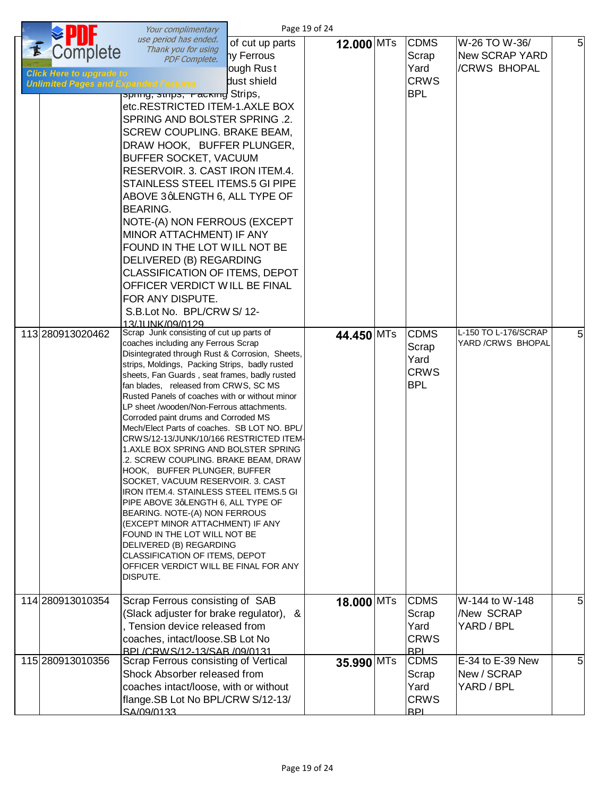|                                                                                                                 | Your complimentary                                                                                                                                                                                                                                                                                                                                                                                                                                                                                                                                                                                                                                                                                                                                                                                                                                                                                                                                                                                                                                                                                                                                                                                                                                                                                 |                                                           | Page 19 of 24            |                                                                                                                        |                                                                                                      |                     |
|-----------------------------------------------------------------------------------------------------------------|----------------------------------------------------------------------------------------------------------------------------------------------------------------------------------------------------------------------------------------------------------------------------------------------------------------------------------------------------------------------------------------------------------------------------------------------------------------------------------------------------------------------------------------------------------------------------------------------------------------------------------------------------------------------------------------------------------------------------------------------------------------------------------------------------------------------------------------------------------------------------------------------------------------------------------------------------------------------------------------------------------------------------------------------------------------------------------------------------------------------------------------------------------------------------------------------------------------------------------------------------------------------------------------------------|-----------------------------------------------------------|--------------------------|------------------------------------------------------------------------------------------------------------------------|------------------------------------------------------------------------------------------------------|---------------------|
| Complete<br><b>Click Here to upgrade to</b><br><b>Unlimited Pages and Expanded Features</b><br>113 280913020462 | use period has ended.<br>Thank you for using<br><b>PDF Complete.</b><br>spiniy, suips, Facking Strips,<br>etc.RESTRICTED ITEM-1.AXLE BOX<br>SPRING AND BOLSTER SPRING .2.<br>SCREW COUPLING. BRAKE BEAM,<br>DRAW HOOK, BUFFER PLUNGER,<br>BUFFER SOCKET, VACUUM<br>RESERVOIR. 3. CAST IRON ITEM.4.<br>STAINLESS STEEL ITEMS.5 GI PIPE<br>ABOVE 3qLENGTH 6, ALL TYPE OF<br><b>BEARING.</b><br>NOTE-(A) NON FERROUS (EXCEPT<br>MINOR ATTACHMENT) IF ANY<br>FOUND IN THE LOT WILL NOT BE<br>DELIVERED (B) REGARDING<br><b>CLASSIFICATION OF ITEMS, DEPOT</b><br>OFFICER VERDICT WILL BE FINAL<br>FOR ANY DISPUTE.<br>S.B.Lot No. BPL/CRW S/12-<br>13/JUNK/09/0129<br>Scrap Junk consisting of cut up parts of<br>coaches including any Ferrous Scrap<br>Disintegrated through Rust & Corrosion, Sheets,<br>strips, Moldings, Packing Strips, badly rusted<br>sheets, Fan Guards, seat frames, badly rusted<br>fan blades, released from CRWS, SC MS<br>Rusted Panels of coaches with or without minor<br>LP sheet /wooden/Non-Ferrous attachments.<br>Corroded paint drums and Corroded MS<br>Mech/Elect Parts of coaches. SB LOT NO. BPL/<br>CRWS/12-13/JUNK/10/166 RESTRICTED ITEM-<br>1.AXLE BOX SPRING AND BOLSTER SPRING<br>.2. SCREW COUPLING. BRAKE BEAM, DRAW<br>HOOK, BUFFER PLUNGER, BUFFER | of cut up parts<br>ny Ferrous<br>ough Rust<br>dust shield | 12.000 MTs<br>44.450 MTs | <b>CDMS</b><br>Scrap<br>Yard<br><b>CRWS</b><br><b>BPL</b><br><b>CDMS</b><br>Scrap<br>Yard<br><b>CRWS</b><br><b>BPL</b> | W-26 TO W-36/<br><b>New SCRAP YARD</b><br>/CRWS BHOPAL<br>L-150 TO L-176/SCRAP<br>YARD / CRWS BHOPAL | 5 <sup>1</sup><br>5 |
|                                                                                                                 | SOCKET, VACUUM RESERVOIR. 3. CAST<br><b>IRON ITEM.4. STAINLESS STEEL ITEMS.5 GI</b><br>PIPE ABOVE 3qLENGTH 6, ALL TYPE OF<br>BEARING. NOTE-(A) NON FERROUS<br>(EXCEPT MINOR ATTACHMENT) IF ANY<br>FOUND IN THE LOT WILL NOT BE<br>DELIVERED (B) REGARDING<br>CLASSIFICATION OF ITEMS, DEPOT<br>OFFICER VERDICT WILL BE FINAL FOR ANY<br>DISPUTE.                                                                                                                                                                                                                                                                                                                                                                                                                                                                                                                                                                                                                                                                                                                                                                                                                                                                                                                                                   |                                                           |                          |                                                                                                                        |                                                                                                      |                     |
| 114 280913010354                                                                                                | Scrap Ferrous consisting of SAB<br>(Slack adjuster for brake regulator), &<br>, Tension device released from<br>coaches, intact/loose.SB Lot No<br>BPL/CRWS/12-13/SAB/09/0131                                                                                                                                                                                                                                                                                                                                                                                                                                                                                                                                                                                                                                                                                                                                                                                                                                                                                                                                                                                                                                                                                                                      |                                                           | 18.000 MTs               | <b>CDMS</b><br>Scrap<br>Yard<br><b>CRWS</b><br><b>BPL</b>                                                              | W-144 to W-148<br>New SCRAP<br>YARD / BPL                                                            | 5 <sub>l</sub>      |
| 115 280913010356                                                                                                | Scrap Ferrous consisting of Vertical<br>Shock Absorber released from<br>coaches intact/loose, with or without<br>flange.SB Lot No BPL/CRW S/12-13/<br>SA/09/0133                                                                                                                                                                                                                                                                                                                                                                                                                                                                                                                                                                                                                                                                                                                                                                                                                                                                                                                                                                                                                                                                                                                                   |                                                           | 35.990 MTs               | <b>CDMS</b><br>Scrap<br>Yard<br><b>CRWS</b><br><b>BPL</b>                                                              | E-34 to E-39 New<br>New / SCRAP<br>YARD / BPL                                                        | 5 <sub>l</sub>      |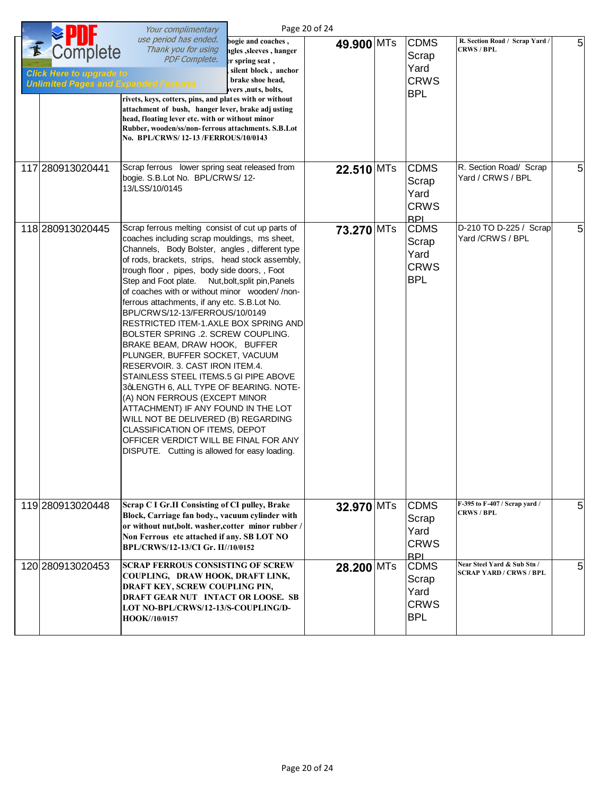|                                                                                                  | Your complimentary                                                                                                                                                                                                                                                                                                                                                                                                                                                                                                                                                                                                                                                                                                                                                                                                                                                                                                                                              |                                                                                                                                             | Page 20 of 24 |                                                           |                                                               |   |
|--------------------------------------------------------------------------------------------------|-----------------------------------------------------------------------------------------------------------------------------------------------------------------------------------------------------------------------------------------------------------------------------------------------------------------------------------------------------------------------------------------------------------------------------------------------------------------------------------------------------------------------------------------------------------------------------------------------------------------------------------------------------------------------------------------------------------------------------------------------------------------------------------------------------------------------------------------------------------------------------------------------------------------------------------------------------------------|---------------------------------------------------------------------------------------------------------------------------------------------|---------------|-----------------------------------------------------------|---------------------------------------------------------------|---|
| E<br>Complete<br><b>Click Here to upgrade to</b><br><b>Unlimited Pages and Expanded Features</b> | use period has ended.<br>Thank you for using<br><b>PDF Complete.</b><br>rivets, keys, cotters, pins, and plates with or without<br>attachment of bush, hanger lever, brake adj usting<br>head, floating lever etc. with or without minor<br>Rubber, wooden/ss/non-ferrous attachments. S.B.Lot<br>No. BPL/CRWS/12-13/FERROUS/10/0143                                                                                                                                                                                                                                                                                                                                                                                                                                                                                                                                                                                                                            | bogie and coaches,<br>ngles, sleeves, hanger<br>er spring seat,<br>silent block, anchor<br>, brake shoe head,<br><i>vers</i> , nuts, bolts, | 49.900 MTs    | <b>CDMS</b><br>Scrap<br>Yard<br><b>CRWS</b><br><b>BPL</b> | R. Section Road / Scrap Yard /<br><b>CRWS / BPL</b>           | 5 |
| 117 280913020441                                                                                 | Scrap ferrous lower spring seat released from<br>bogie. S.B.Lot No. BPL/CRWS/12-<br>13/LSS/10/0145                                                                                                                                                                                                                                                                                                                                                                                                                                                                                                                                                                                                                                                                                                                                                                                                                                                              |                                                                                                                                             | 22.510 MTs    | <b>CDMS</b><br>Scrap<br>Yard<br><b>CRWS</b><br><b>BPL</b> | R. Section Road/ Scrap<br>Yard / CRWS / BPL                   | 5 |
| 118 280913020445                                                                                 | Scrap ferrous melting consist of cut up parts of<br>coaches including scrap mouldings, ms sheet,<br>Channels, Body Bolster, angles, different type<br>of rods, brackets, strips, head stock assembly,<br>trough floor, pipes, body side doors,, Foot<br>Step and Foot plate. Nut, bolt, split pin, Panels<br>of coaches with or without minor wooden//non-<br>ferrous attachments, if any etc. S.B.Lot No.<br>BPL/CRWS/12-13/FERROUS/10/0149<br>RESTRICTED ITEM-1.AXLE BOX SPRING AND<br>BOLSTER SPRING .2. SCREW COUPLING.<br>BRAKE BEAM, DRAW HOOK, BUFFER<br>PLUNGER, BUFFER SOCKET, VACUUM<br>RESERVOIR. 3. CAST IRON ITEM.4.<br>STAINLESS STEEL ITEMS.5 GI PIPE ABOVE<br>3qLENGTH 6, ALL TYPE OF BEARING. NOTE-<br>(A) NON FERROUS (EXCEPT MINOR<br>ATTACHMENT) IF ANY FOUND IN THE LOT<br>WILL NOT BE DELIVERED (B) REGARDING<br>CLASSIFICATION OF ITEMS, DEPOT<br>OFFICER VERDICT WILL BE FINAL FOR ANY<br>DISPUTE. Cutting is allowed for easy loading. |                                                                                                                                             | 73.270 MTs    | <b>CDMS</b><br>Scrap<br>Yard<br><b>CRWS</b><br><b>BPL</b> | D-210 TO D-225 / Scrap<br>Yard /CRWS / BPL                    | 5 |
| 119 280913020448                                                                                 | Scrap C I Gr.II Consisting of CI pulley, Brake<br>Block, Carriage fan body., vacuum cylinder with<br>or without nut, bolt. washer, cotter minor rubber /<br>Non Ferrous etc attached if any. SB LOT NO<br>BPL/CRWS/12-13/CI Gr. II//10/0152                                                                                                                                                                                                                                                                                                                                                                                                                                                                                                                                                                                                                                                                                                                     |                                                                                                                                             | 32.970 MTs    | <b>CDMS</b><br>Scrap<br>Yard<br><b>CRWS</b><br><b>BPL</b> | F-395 to F-407 / Scrap yard /<br><b>CRWS / BPL</b>            | 5 |
| 120 280913020453                                                                                 | <b>SCRAP FERROUS CONSISTING OF SCREW</b><br>COUPLING, DRAW HOOK, DRAFT LINK,<br>DRAFT KEY, SCREW COUPLING PIN,<br>DRAFT GEAR NUT INTACT OR LOOSE. SB<br>LOT NO-BPL/CRWS/12-13/S-COUPLING/D-<br>HOOK//10/0157                                                                                                                                                                                                                                                                                                                                                                                                                                                                                                                                                                                                                                                                                                                                                    |                                                                                                                                             | 28.200 MTs    | <b>CDMS</b><br>Scrap<br>Yard<br><b>CRWS</b><br><b>BPL</b> | Near Steel Yard & Sub Stn /<br><b>SCRAP YARD / CRWS / BPL</b> | 5 |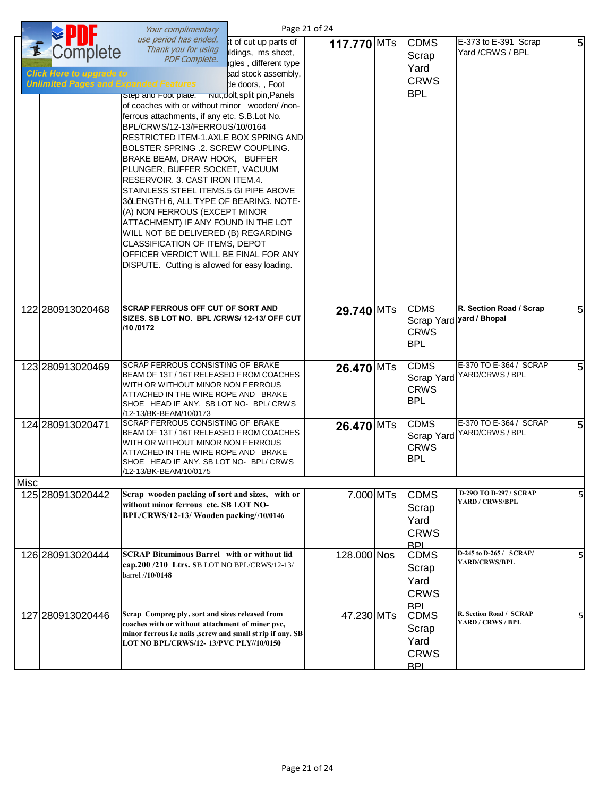|      |                                                                                             | Your complimentary                                                                                                                                                                                                                                                                                                                                                                                                                                                                                                                                                                                                                                                                                                                                 |                                                                                                                                                  | Page 21 of 24 |                                                           |                                                     |   |
|------|---------------------------------------------------------------------------------------------|----------------------------------------------------------------------------------------------------------------------------------------------------------------------------------------------------------------------------------------------------------------------------------------------------------------------------------------------------------------------------------------------------------------------------------------------------------------------------------------------------------------------------------------------------------------------------------------------------------------------------------------------------------------------------------------------------------------------------------------------------|--------------------------------------------------------------------------------------------------------------------------------------------------|---------------|-----------------------------------------------------------|-----------------------------------------------------|---|
| E    | Complete<br><b>Click Here to upgrade to</b><br><b>Unlimited Pages and Expanded Features</b> | use period has ended.<br>Thank you for using<br><b>PDF Complete.</b><br>Step and Foot plate.<br>of coaches with or without minor wooden//non-<br>ferrous attachments, if any etc. S.B.Lot No.<br>BPL/CRWS/12-13/FERROUS/10/0164<br>RESTRICTED ITEM-1.AXLE BOX SPRING AND<br>BOLSTER SPRING .2. SCREW COUPLING.<br>BRAKE BEAM, DRAW HOOK, BUFFER<br>PLUNGER, BUFFER SOCKET, VACUUM<br>RESERVOIR. 3. CAST IRON ITEM.4.<br>STAINLESS STEEL ITEMS.5 GI PIPE ABOVE<br>3qLENGTH 6, ALL TYPE OF BEARING. NOTE-<br>(A) NON FERROUS (EXCEPT MINOR<br>ATTACHMENT) IF ANY FOUND IN THE LOT<br>WILL NOT BE DELIVERED (B) REGARDING<br>CLASSIFICATION OF ITEMS, DEPOT<br>OFFICER VERDICT WILL BE FINAL FOR ANY<br>DISPUTE. Cutting is allowed for easy loading. | st of cut up parts of<br>ildings, ms sheet,<br>igles, different type<br>ead stock assembly,<br>de doors, , Foot<br>TNUT, Dolt, split pin, Panels | 117.770 MTs   | <b>CDMS</b><br>Scrap<br>Yard<br><b>CRWS</b><br><b>BPL</b> | E-373 to E-391 Scrap<br>Yard /CRWS / BPL            | 5 |
|      | 122 280913020468                                                                            | <b>SCRAP FERROUS OFF CUT OF SORT AND</b><br>SIZES. SB LOT NO. BPL / CRWS/ 12-13/ OFF CUT<br>/10 /0172                                                                                                                                                                                                                                                                                                                                                                                                                                                                                                                                                                                                                                              |                                                                                                                                                  | 29.740 MTs    | <b>CDMS</b><br><b>CRWS</b><br><b>BPL</b>                  | R. Section Road / Scrap<br>Scrap Yard vard / Bhopal | 5 |
|      | 123 280913020469                                                                            | SCRAP FERROUS CONSISTING OF BRAKE<br>BEAM OF 13T / 16T RELEASED F ROM COACHES<br>WITH OR WITHOUT MINOR NON FERROUS<br>ATTACHED IN THE WIRE ROPE AND BRAKE<br>SHOE HEAD IF ANY. SB LOT NO- BPL/ CRWS<br>/12-13/BK-BEAM/10/0173                                                                                                                                                                                                                                                                                                                                                                                                                                                                                                                      |                                                                                                                                                  | 26.470 MTs    | <b>CDMS</b><br>Scrap Yard<br><b>CRWS</b><br><b>BPL</b>    | E-370 TO E-364 / SCRAP<br>YARD/CRWS / BPL           | 5 |
|      | 124 280913020471                                                                            | SCRAP FERROUS CONSISTING OF BRAKE<br>BEAM OF 13T / 16T RELEASED FROM COACHES<br>WITH OR WITHOUT MINOR NON FERROUS<br>ATTACHED IN THE WIRE ROPE AND BRAKE<br>SHOE HEAD IF ANY. SB LOT NO- BPL/ CRWS<br>/12-13/BK-BEAM/10/0175                                                                                                                                                                                                                                                                                                                                                                                                                                                                                                                       |                                                                                                                                                  | 26.470 MTs    | <b>CDMS</b><br>Scrap Yard<br><b>CRWS</b><br><b>BPL</b>    | E-370 TO E-364 / SCRAP<br>YARD/CRWS / BPL           | 5 |
| Misc |                                                                                             |                                                                                                                                                                                                                                                                                                                                                                                                                                                                                                                                                                                                                                                                                                                                                    |                                                                                                                                                  |               |                                                           |                                                     |   |
|      | 125 280913020442                                                                            | Scrap wooden packing of sort and sizes, with or<br>without minor ferrous etc. SB LOT NO-<br>BPL/CRWS/12-13/ Wooden packing//10/0146                                                                                                                                                                                                                                                                                                                                                                                                                                                                                                                                                                                                                |                                                                                                                                                  | 7.000 MTs     | <b>CDMS</b><br>Scrap<br>Yard<br><b>CRWS</b><br><b>BPL</b> | D-29O TO D-297 / SCRAP<br>YARD / CRWS/BPL           | 5 |
|      | 126 280913020444                                                                            | <b>SCRAP Bituminous Barrel with or without lid</b><br>cap.200/210 Ltrs. SB LOT NO BPL/CRWS/12-13/<br>barrel //10/0148                                                                                                                                                                                                                                                                                                                                                                                                                                                                                                                                                                                                                              |                                                                                                                                                  | 128.000 Nos   | <b>CDMS</b><br>Scrap<br>Yard<br><b>CRWS</b><br><b>BPL</b> | D-245 to D-265 / SCRAP/<br>YARD/CRWS/BPL            | 5 |
|      | 127 280913020446                                                                            | Scrap Compreg ply, sort and sizes released from<br>coaches with or without attachment of miner pvc,<br>minor ferrous i.e nails , screw and small st rip if any. SB<br>LOT NO BPL/CRWS/12-13/PVC PLY//10/0150                                                                                                                                                                                                                                                                                                                                                                                                                                                                                                                                       |                                                                                                                                                  | 47.230 MTs    | <b>CDMS</b><br>Scrap<br>Yard<br><b>CRWS</b><br><b>RPI</b> | R. Section Road / SCRAP<br>YARD / CRWS / BPL        | 5 |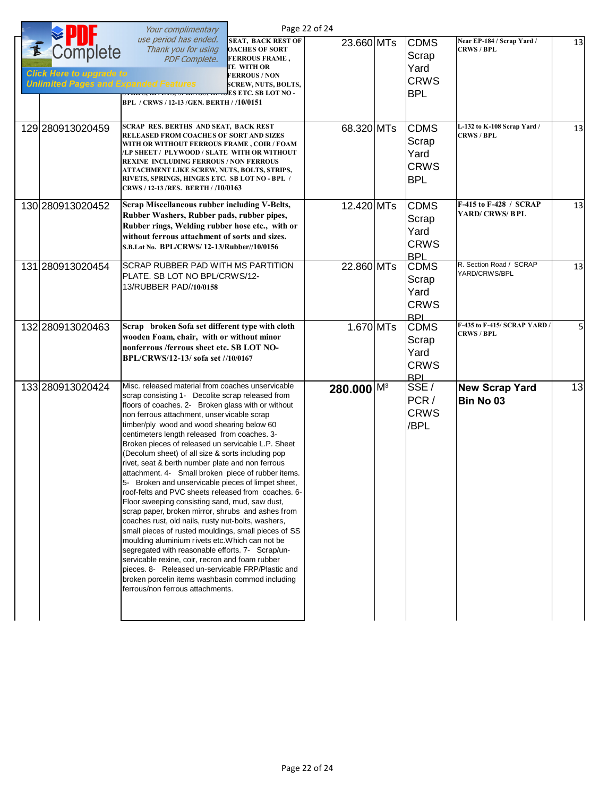|                                                                                             | Your complimentary                                                                                                                                                                                                                                                                                                                                                                                                                                                                                                                                                                                                                                                                                                                                                                                                                                                                                                                                                                                                                                                                                                                                                    |                                                                                                                                                        | Page 22 of 24            |                                                           |                                                  |    |
|---------------------------------------------------------------------------------------------|-----------------------------------------------------------------------------------------------------------------------------------------------------------------------------------------------------------------------------------------------------------------------------------------------------------------------------------------------------------------------------------------------------------------------------------------------------------------------------------------------------------------------------------------------------------------------------------------------------------------------------------------------------------------------------------------------------------------------------------------------------------------------------------------------------------------------------------------------------------------------------------------------------------------------------------------------------------------------------------------------------------------------------------------------------------------------------------------------------------------------------------------------------------------------|--------------------------------------------------------------------------------------------------------------------------------------------------------|--------------------------|-----------------------------------------------------------|--------------------------------------------------|----|
| Complete<br><b>Click Here to upgrade to</b><br><b>Unlimited Pages and Expanded Features</b> | use period has ended.<br>Thank you for using<br><b>PDF Complete.</b><br>$\frac{1}{2}$<br>BPL / CRWS / 12-13 / GEN. BERTH / /10/0151                                                                                                                                                                                                                                                                                                                                                                                                                                                                                                                                                                                                                                                                                                                                                                                                                                                                                                                                                                                                                                   | <b>SEAT, BACK REST OF</b><br><b>OACHES OF SORT</b><br><b>FERROUS FRAME,</b><br><b>TE WITH OR</b><br><b>FERROUS / NON</b><br><b>SCREW, NUTS, BOLTS,</b> | 23.660 MTs               | <b>CDMS</b><br>Scrap<br>Yard<br><b>CRWS</b><br><b>BPL</b> | Near EP-184 / Scrap Yard /<br><b>CRWS / BPL</b>  | 13 |
| 129 280913020459                                                                            | SCRAP RES. BERTHS AND SEAT, BACK REST<br>RELEASED FROM COACHES OF SORT AND SIZES<br>WITH OR WITHOUT FERROUS FRAME, COIR / FOAM<br>/LP SHEET / PLYWOOD / SLATE WITH OR WITHOUT<br><b>REXINE INCLUDING FERROUS / NON FERROUS</b><br>ATTACHMENT LIKE SCREW, NUTS, BOLTS, STRIPS,<br>RIVETS, SPRINGS, HINGES ETC. SB LOT NO - BPL /<br>CRWS / 12-13 / RES. BERTH / /10/0163                                                                                                                                                                                                                                                                                                                                                                                                                                                                                                                                                                                                                                                                                                                                                                                               |                                                                                                                                                        | 68.320 MTs               | <b>CDMS</b><br>Scrap<br>Yard<br><b>CRWS</b><br><b>BPL</b> | L-132 to K-108 Scrap Yard /<br><b>CRWS / BPL</b> | 13 |
| 130 280913020452                                                                            | Scrap Miscellaneous rubber including V-Belts,<br>Rubber Washers, Rubber pads, rubber pipes,<br>Rubber rings, Welding rubber hose etc., with or<br>without ferrous attachment of sorts and sizes.<br>S.B.Lot No. BPL/CRWS/12-13/Rubber//10/0156                                                                                                                                                                                                                                                                                                                                                                                                                                                                                                                                                                                                                                                                                                                                                                                                                                                                                                                        |                                                                                                                                                        | 12.420 MTs               | <b>CDMS</b><br>Scrap<br>Yard<br><b>CRWS</b><br><b>BPL</b> | F-415 to F-428 / SCRAP<br><b>YARD/ CRWS/ BPL</b> | 13 |
| 131 280913020454                                                                            | SCRAP RUBBER PAD WITH MS PARTITION<br>PLATE. SB LOT NO BPL/CRWS/12-<br>13/RUBBER PAD//10/0158                                                                                                                                                                                                                                                                                                                                                                                                                                                                                                                                                                                                                                                                                                                                                                                                                                                                                                                                                                                                                                                                         |                                                                                                                                                        | 22.860 MTs               | <b>CDMS</b><br>Scrap<br>Yard<br><b>CRWS</b><br><b>BPI</b> | R. Section Road / SCRAP<br>YARD/CRWS/BPL         | 13 |
| 132 280913020463                                                                            | Scrap broken Sofa set different type with cloth<br>wooden Foam, chair, with or without minor<br>nonferrous /ferrous sheet etc. SB LOT NO-<br>BPL/CRWS/12-13/ sofa set //10/0167                                                                                                                                                                                                                                                                                                                                                                                                                                                                                                                                                                                                                                                                                                                                                                                                                                                                                                                                                                                       |                                                                                                                                                        | 1.670 MTs                | <b>CDMS</b><br>Scrap<br>Yard<br><b>CRWS</b><br><b>BPL</b> | F-435 to F-415/ SCRAP YARD<br><b>CRWS / BPL</b>  | 5  |
| 133 280913020424                                                                            | Misc. released material from coaches unservicable<br>scrap consisting 1- Decolite scrap released from<br>floors of coaches. 2- Broken glass with or without<br>non ferrous attachment, unservicable scrap<br>timber/ply wood and wood shearing below 60<br>centimeters length released from coaches. 3-<br>Broken pieces of released un servicable L.P. Sheet<br>(Decolum sheet) of all size & sorts including pop<br>rivet, seat & berth number plate and non ferrous<br>attachment. 4- Small broken piece of rubber items.<br>5- Broken and unservicable pieces of limpet sheet,<br>roof-felts and PVC sheets released from coaches. 6-<br>Floor sweeping consisting sand, mud, saw dust,<br>scrap paper, broken mirror, shrubs and ashes from<br>coaches rust, old nails, rusty nut-bolts, washers,<br>small pieces of rusted mouldings, small pieces of SS<br>moulding aluminium rivets etc. Which can not be<br>segregated with reasonable efforts. 7- Scrap/un-<br>servicable rexine, coir, recron and foam rubber<br>pieces. 8- Released un-servicable FRP/Plastic and<br>broken porcelin items washbasin commod including<br>ferrous/non ferrous attachments. |                                                                                                                                                        | $280.000$ M <sup>3</sup> | SSE/<br>PCR/<br><b>CRWS</b><br>/BPL                       | <b>New Scrap Yard</b><br>Bin No 03               | 13 |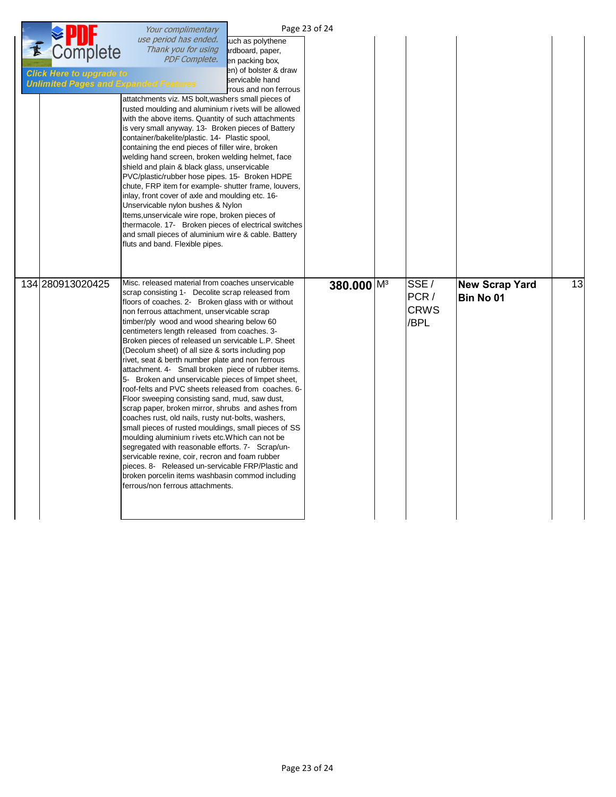|   |                                                                                             | Your complimentary                                                                                                                                                                                                                                                                                                                                                                                                                                                                                                                                                                                                                                                                                                                                                                                                                                                                                                                                                                                                                                                                                                                                                    |                                                                                                                               | Page 23 of 24          |                                      |                                    |    |
|---|---------------------------------------------------------------------------------------------|-----------------------------------------------------------------------------------------------------------------------------------------------------------------------------------------------------------------------------------------------------------------------------------------------------------------------------------------------------------------------------------------------------------------------------------------------------------------------------------------------------------------------------------------------------------------------------------------------------------------------------------------------------------------------------------------------------------------------------------------------------------------------------------------------------------------------------------------------------------------------------------------------------------------------------------------------------------------------------------------------------------------------------------------------------------------------------------------------------------------------------------------------------------------------|-------------------------------------------------------------------------------------------------------------------------------|------------------------|--------------------------------------|------------------------------------|----|
| E | Complete<br><b>Click Here to upgrade to</b><br><b>Unlimited Pages and Expanded Features</b> | use period has ended.<br>Thank you for using<br><b>PDF Complete.</b><br>attatchments viz. MS bolt, washers small pieces of<br>rusted moulding and aluminium rivets will be allowed<br>with the above items. Quantity of such attachments<br>is very small anyway. 13- Broken pieces of Battery<br>container/bakelite/plastic. 14- Plastic spool,<br>containing the end pieces of filler wire, broken<br>welding hand screen, broken welding helmet, face<br>shield and plain & black glass, unservicable<br>PVC/plastic/rubber hose pipes. 15- Broken HDPE<br>chute, FRP item for example- shutter frame, louvers,<br>inlay, front cover of axle and moulding etc. 16-<br>Unservicable nylon bushes & Nylon<br>Items, unservicale wire rope, broken pieces of<br>thermacole. 17- Broken pieces of electrical switches<br>and small pieces of aluminium wire & cable. Battery<br>fluts and band. Flexible pipes.                                                                                                                                                                                                                                                       | such as polythene<br>ardboard, paper,<br>en packing box,<br>en) of bolster & draw<br>servicable hand<br>rrous and non ferrous |                        |                                      |                                    |    |
|   | 134 280913020425                                                                            | Misc. released material from coaches unservicable<br>scrap consisting 1- Decolite scrap released from<br>floors of coaches. 2- Broken glass with or without<br>non ferrous attachment, unservicable scrap<br>timber/ply wood and wood shearing below 60<br>centimeters length released from coaches. 3-<br>Broken pieces of released un servicable L.P. Sheet<br>(Decolum sheet) of all size & sorts including pop<br>rivet, seat & berth number plate and non ferrous<br>attachment. 4- Small broken piece of rubber items.<br>5- Broken and unservicable pieces of limpet sheet,<br>roof-felts and PVC sheets released from coaches. 6-<br>Floor sweeping consisting sand, mud, saw dust,<br>scrap paper, broken mirror, shrubs and ashes from<br>coaches rust, old nails, rusty nut-bolts, washers,<br>small pieces of rusted mouldings, small pieces of SS<br>moulding aluminium rivets etc. Which can not be<br>segregated with reasonable efforts. 7- Scrap/un-<br>servicable rexine, coir, recron and foam rubber<br>pieces. 8- Released un-servicable FRP/Plastic and<br>broken porcelin items washbasin commod including<br>ferrous/non ferrous attachments. |                                                                                                                               | 380.000 M <sup>3</sup> | SSE/<br>PCR /<br><b>CRWS</b><br>/BPL | <b>New Scrap Yard</b><br>Bin No 01 | 13 |